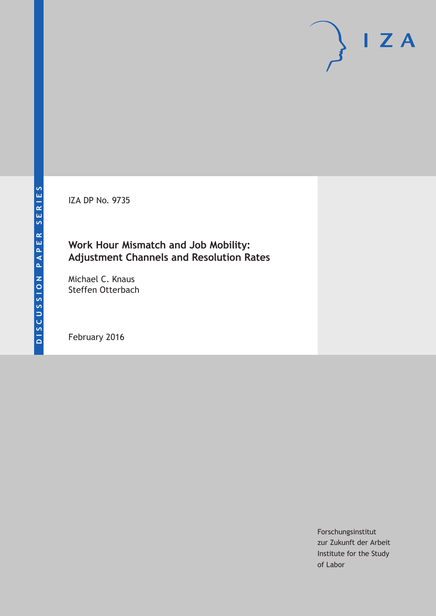IZA DP No. 9735

### **Work Hour Mismatch and Job Mobility: Adjustment Channels and Resolution Rates**

Michael C. Knaus Steffen Otterbach

February 2016

Forschungsinstitut zur Zukunft der Arbeit Institute for the Study of Labor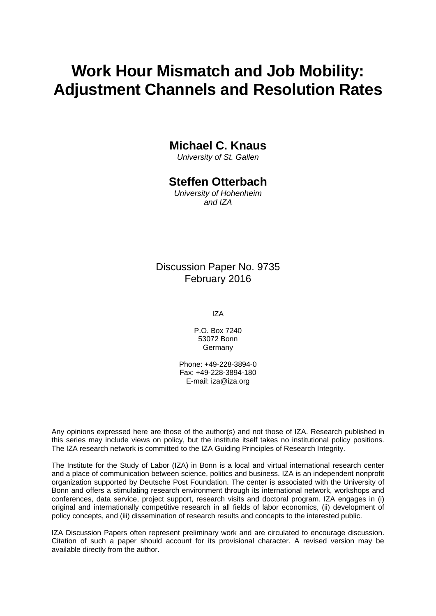# **Work Hour Mismatch and Job Mobility: Adjustment Channels and Resolution Rates**

## **Michael C. Knaus**

*University of St. Gallen* 

#### **Steffen Otterbach**

*University of Hohenheim and IZA* 

#### Discussion Paper No. 9735 February 2016

IZA

P.O. Box 7240 53072 Bonn Germany

Phone: +49-228-3894-0 Fax: +49-228-3894-180 E-mail: iza@iza.org

Any opinions expressed here are those of the author(s) and not those of IZA. Research published in this series may include views on policy, but the institute itself takes no institutional policy positions. The IZA research network is committed to the IZA Guiding Principles of Research Integrity.

The Institute for the Study of Labor (IZA) in Bonn is a local and virtual international research center and a place of communication between science, politics and business. IZA is an independent nonprofit organization supported by Deutsche Post Foundation. The center is associated with the University of Bonn and offers a stimulating research environment through its international network, workshops and conferences, data service, project support, research visits and doctoral program. IZA engages in (i) original and internationally competitive research in all fields of labor economics, (ii) development of policy concepts, and (iii) dissemination of research results and concepts to the interested public.

IZA Discussion Papers often represent preliminary work and are circulated to encourage discussion. Citation of such a paper should account for its provisional character. A revised version may be available directly from the author.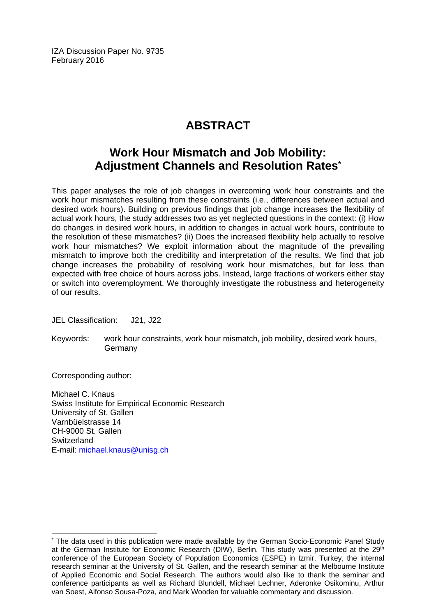IZA Discussion Paper No. 9735 February 2016

## **ABSTRACT**

## **Work Hour Mismatch and Job Mobility: Adjustment Channels and Resolution Rates\***

This paper analyses the role of job changes in overcoming work hour constraints and the work hour mismatches resulting from these constraints (i.e., differences between actual and desired work hours). Building on previous findings that job change increases the flexibility of actual work hours, the study addresses two as yet neglected questions in the context: (i) How do changes in desired work hours, in addition to changes in actual work hours, contribute to the resolution of these mismatches? (ii) Does the increased flexibility help actually to resolve work hour mismatches? We exploit information about the magnitude of the prevailing mismatch to improve both the credibility and interpretation of the results. We find that job change increases the probability of resolving work hour mismatches, but far less than expected with free choice of hours across jobs. Instead, large fractions of workers either stay or switch into overemployment. We thoroughly investigate the robustness and heterogeneity of our results.

JEL Classification: J21, J22

Keywords: work hour constraints, work hour mismatch, job mobility, desired work hours, **Germany** 

Corresponding author:

 $\overline{a}$ 

Michael C. Knaus Swiss Institute for Empirical Economic Research University of St. Gallen Varnbüelstrasse 14 CH-9000 St. Gallen **Switzerland** E-mail: michael.knaus@unisg.ch

<sup>\*</sup> The data used in this publication were made available by the German Socio-Economic Panel Study at the German Institute for Economic Research (DIW), Berlin. This study was presented at the 29<sup>th</sup> conference of the European Society of Population Economics (ESPE) in Izmir, Turkey, the internal research seminar at the University of St. Gallen, and the research seminar at the Melbourne Institute of Applied Economic and Social Research. The authors would also like to thank the seminar and conference participants as well as Richard Blundell, Michael Lechner, Aderonke Osikominu, Arthur van Soest, Alfonso Sousa-Poza, and Mark Wooden for valuable commentary and discussion.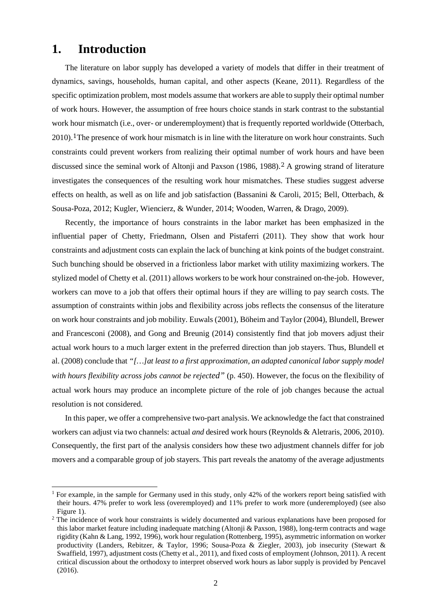### **1. Introduction**

The literature on labor supply has developed a variety of models that differ in their treatment of dynamics, savings, households, human capital, and other aspects (Keane, 2011). Regardless of the specific optimization problem, most models assume that workers are able to supply their optimal number of work hours. However, the assumption of free hours choice stands in stark contrast to the substantial work hour mismatch (i.e., over- or underemployment) that is frequently reported worldwide (Otterbach, 2010).[1](#page-3-0) The presence of work hour mismatch is in line with the literature on work hour constraints. Such constraints could prevent workers from realizing their optimal number of work hours and have been discussed since the seminal work of Altonii and Paxson (1986, 1988).<sup>[2](#page-3-1)</sup> A growing strand of literature investigates the consequences of the resulting work hour mismatches. These studies suggest adverse effects on health, as well as on life and job satisfaction (Bassanini & Caroli, 2015; Bell, Otterbach, & Sousa-Poza, 2012; Kugler, Wiencierz, & Wunder, 2014; Wooden, Warren, & Drago, 2009).

Recently, the importance of hours constraints in the labor market has been emphasized in the influential paper of Chetty, Friedmann, Olsen and Pistaferri (2011). They show that work hour constraints and adjustment costs can explain the lack of bunching at kink points of the budget constraint. Such bunching should be observed in a frictionless labor market with utility maximizing workers. The stylized model of Chetty et al. (2011) allows workers to be work hour constrained on-the-job. However, workers can move to a job that offers their optimal hours if they are willing to pay search costs. The assumption of constraints within jobs and flexibility across jobs reflects the consensus of the literature on work hour constraints and job mobility. Euwals (2001), Böheim and Taylor (2004), Blundell, Brewer and Francesconi (2008), and Gong and Breunig (2014) consistently find that job movers adjust their actual work hours to a much larger extent in the preferred direction than job stayers. Thus, Blundell et al. (2008) conclude that *"[…]at least to a first approximation, an adapted canonical labor supply model with hours flexibility across jobs cannot be rejected"* (p. 450). However, the focus on the flexibility of actual work hours may produce an incomplete picture of the role of job changes because the actual resolution is not considered.

In this paper, we offer a comprehensive two-part analysis. We acknowledge the fact that constrained workers can adjust via two channels: actual *and* desired work hours (Reynolds & Aletraris, 2006, 2010). Consequently, the first part of the analysis considers how these two adjustment channels differ for job movers and a comparable group of job stayers. This part reveals the anatomy of the average adjustments

<span id="page-3-0"></span><sup>&</sup>lt;sup>1</sup> For example, in the sample for Germany used in this study, only 42% of the workers report being satisfied with their hours. 47% prefer to work less (overemployed) and 11% prefer to work more (underemployed) (see also [Figure 1\)](#page-21-0).

<span id="page-3-1"></span><sup>&</sup>lt;sup>2</sup> The incidence of work hour constraints is widely documented and various explanations have been proposed for this labor market feature including inadequate matching (Altonji & Paxson, 1988), long-term contracts and wage rigidity (Kahn & Lang, 1992, 1996), work hour regulation (Rottenberg, 1995), asymmetric information on worker productivity (Landers, Rebitzer, & Taylor, 1996; Sousa-Poza & Ziegler, 2003), job insecurity (Stewart & Swaffield, 1997), adjustment costs (Chetty et al., 2011), and fixed costs of employment (Johnson, 2011). A recent critical discussion about the orthodoxy to interpret observed work hours as labor supply is provided by Pencavel (2016).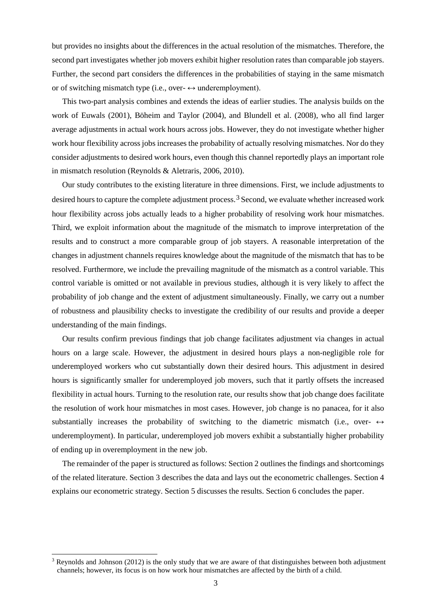but provides no insights about the differences in the actual resolution of the mismatches. Therefore, the second part investigates whether job movers exhibit higher resolution rates than comparable job stayers. Further, the second part considers the differences in the probabilities of staying in the same mismatch or of switching mismatch type (i.e., over- $\leftrightarrow$  underemployment).

This two-part analysis combines and extends the ideas of earlier studies. The analysis builds on the work of Euwals (2001), Böheim and Taylor (2004), and Blundell et al. (2008), who all find larger average adjustments in actual work hours across jobs. However, they do not investigate whether higher work hour flexibility across jobs increases the probability of actually resolving mismatches. Nor do they consider adjustments to desired work hours, even though this channel reportedly plays an important role in mismatch resolution (Reynolds & Aletraris, 2006, 2010).

Our study contributes to the existing literature in three dimensions. First, we include adjustments to desired hours to capture the complete adjustment process.[3](#page-4-0) Second, we evaluate whether increased work hour flexibility across jobs actually leads to a higher probability of resolving work hour mismatches. Third, we exploit information about the magnitude of the mismatch to improve interpretation of the results and to construct a more comparable group of job stayers. A reasonable interpretation of the changes in adjustment channels requires knowledge about the magnitude of the mismatch that has to be resolved. Furthermore, we include the prevailing magnitude of the mismatch as a control variable. This control variable is omitted or not available in previous studies, although it is very likely to affect the probability of job change and the extent of adjustment simultaneously. Finally, we carry out a number of robustness and plausibility checks to investigate the credibility of our results and provide a deeper understanding of the main findings.

Our results confirm previous findings that job change facilitates adjustment via changes in actual hours on a large scale. However, the adjustment in desired hours plays a non-negligible role for underemployed workers who cut substantially down their desired hours. This adjustment in desired hours is significantly smaller for underemployed job movers, such that it partly offsets the increased flexibility in actual hours. Turning to the resolution rate, our results show that job change does facilitate the resolution of work hour mismatches in most cases. However, job change is no panacea, for it also substantially increases the probability of switching to the diametric mismatch (i.e., over-  $\leftrightarrow$ underemployment). In particular, underemployed job movers exhibit a substantially higher probability of ending up in overemployment in the new job.

The remainder of the paper is structured as follows: Section 2 outlines the findings and shortcomings of the related literature. Section 3 describes the data and lays out the econometric challenges. Section 4 explains our econometric strategy. Section 5 discusses the results. Section 6 concludes the paper.

<span id="page-4-0"></span><sup>&</sup>lt;sup>3</sup> Reynolds and Johnson (2012) is the only study that we are aware of that distinguishes between both adjustment channels; however, its focus is on how work hour mismatches are affected by the birth of a child.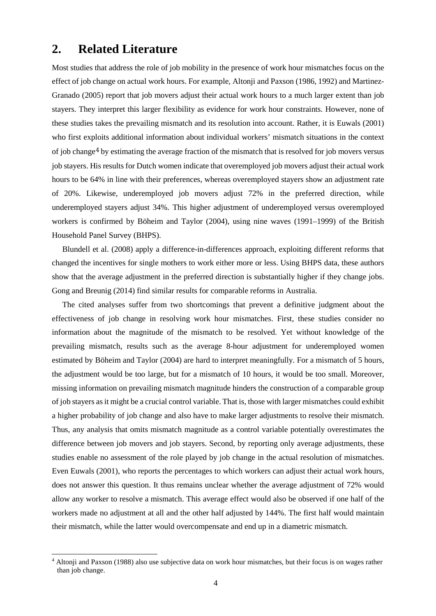### **2. Related Literature**

Most studies that address the role of job mobility in the presence of work hour mismatches focus on the effect of job change on actual work hours. For example, Altonji and Paxson (1986, 1992) and Martinez-Granado (2005) report that job movers adjust their actual work hours to a much larger extent than job stayers. They interpret this larger flexibility as evidence for work hour constraints. However, none of these studies takes the prevailing mismatch and its resolution into account. Rather, it is Euwals (2001) who first exploits additional information about individual workers' mismatch situations in the context of job change[4](#page-5-0) by estimating the average fraction of the mismatch that is resolved for job movers versus job stayers. His results for Dutch women indicate that overemployed job movers adjust their actual work hours to be 64% in line with their preferences, whereas overemployed stayers show an adjustment rate of 20%. Likewise, underemployed job movers adjust 72% in the preferred direction, while underemployed stayers adjust 34%. This higher adjustment of underemployed versus overemployed workers is confirmed by Böheim and Taylor (2004), using nine waves (1991–1999) of the British Household Panel Survey (BHPS).

Blundell et al. (2008) apply a difference-in-differences approach, exploiting different reforms that changed the incentives for single mothers to work either more or less. Using BHPS data, these authors show that the average adjustment in the preferred direction is substantially higher if they change jobs. Gong and Breunig (2014) find similar results for comparable reforms in Australia.

The cited analyses suffer from two shortcomings that prevent a definitive judgment about the effectiveness of job change in resolving work hour mismatches. First, these studies consider no information about the magnitude of the mismatch to be resolved. Yet without knowledge of the prevailing mismatch, results such as the average 8-hour adjustment for underemployed women estimated by Böheim and Taylor (2004) are hard to interpret meaningfully. For a mismatch of 5 hours, the adjustment would be too large, but for a mismatch of 10 hours, it would be too small. Moreover, missing information on prevailing mismatch magnitude hinders the construction of a comparable group of job stayers as it might be a crucial control variable. That is, those with larger mismatches could exhibit a higher probability of job change and also have to make larger adjustments to resolve their mismatch. Thus, any analysis that omits mismatch magnitude as a control variable potentially overestimates the difference between job movers and job stayers. Second, by reporting only average adjustments, these studies enable no assessment of the role played by job change in the actual resolution of mismatches. Even Euwals (2001), who reports the percentages to which workers can adjust their actual work hours, does not answer this question. It thus remains unclear whether the average adjustment of 72% would allow any worker to resolve a mismatch. This average effect would also be observed if one half of the workers made no adjustment at all and the other half adjusted by 144%. The first half would maintain their mismatch, while the latter would overcompensate and end up in a diametric mismatch.

<span id="page-5-0"></span> <sup>4</sup> Altonji and Paxson (1988) also use subjective data on work hour mismatches, but their focus is on wages rather than job change.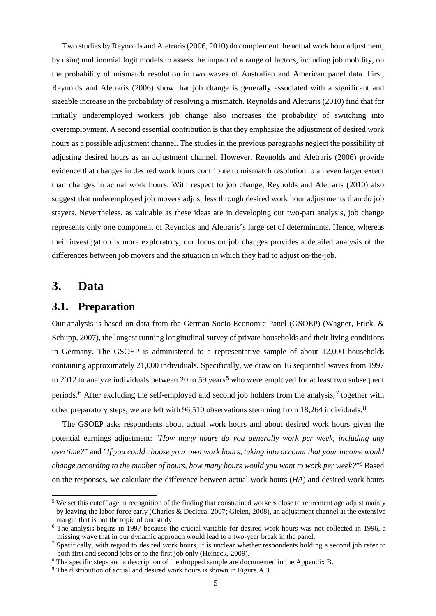Two studies by Reynolds and Aletraris(2006, 2010) do complement the actual work hour adjustment, by using multinomial logit models to assess the impact of a range of factors, including job mobility, on the probability of mismatch resolution in two waves of Australian and American panel data. First, Reynolds and Aletraris (2006) show that job change is generally associated with a significant and sizeable increase in the probability of resolving a mismatch. Reynolds and Aletraris (2010) find that for initially underemployed workers job change also increases the probability of switching into overemployment. A second essential contribution is that they emphasize the adjustment of desired work hours as a possible adjustment channel. The studies in the previous paragraphs neglect the possibility of adjusting desired hours as an adjustment channel. However, Reynolds and Aletraris (2006) provide evidence that changes in desired work hours contribute to mismatch resolution to an even larger extent than changes in actual work hours. With respect to job change, Reynolds and Aletraris (2010) also suggest that underemployed job movers adjust less through desired work hour adjustments than do job stayers. Nevertheless, as valuable as these ideas are in developing our two-part analysis, job change represents only one component of Reynolds and Aletraris's large set of determinants. Hence, whereas their investigation is more exploratory, our focus on job changes provides a detailed analysis of the differences between job movers and the situation in which they had to adjust on-the-job.

#### **3. Data**

#### **3.1. Preparation**

Our analysis is based on data from the German Socio-Economic Panel (GSOEP) (Wagner, Frick, & Schupp, 2007), the longest running longitudinal survey of private households and their living conditions in Germany. The GSOEP is administered to a representative sample of about 12,000 households containing approximately 21,000 individuals. Specifically, we draw on 16 sequential waves from 1997 to 2012 to analyze individuals between 20 to [5](#page-6-0)9 years<sup>5</sup> who were employed for at least two subsequent periods.[6](#page-6-1) After excluding the self-employed and second job holders from the analysis,[7](#page-6-2) together with other preparatory steps, we are left with 96,510 observations stemming from 18,264 individuals.[8](#page-6-3)

The GSOEP asks respondents about actual work hours and about desired work hours given the potential earnings adjustment: "*How many hours do you generally work per week, including any overtime?*" and "*If you could choose your own work hours, taking into account that your income would change according to the number of hours, how many hours would you want to work per week?*"[9](#page-6-4) Based on the responses, we calculate the difference between actual work hours (*HA*) and desired work hours

<span id="page-6-0"></span> $5$  We set this cutoff age in recognition of the finding that constrained workers close to retirement age adjust mainly by leaving the labor force early (Charles & Decicca, 2007; Gielen, 2008), an adjustment channel at the extensive margin that is not the topic of our study.

<span id="page-6-1"></span><sup>&</sup>lt;sup>6</sup> The analysis begins in 1997 because the crucial variable for desired work hours was not collected in 1996, a missing wave that in our dynamic approach would lead to a two-year break in the panel.

<span id="page-6-2"></span><sup>&</sup>lt;sup>7</sup> Specifically, with regard to desired work hours, it is unclear whether respondents holding a second job refer to both first and second jobs or to the first job only (Heineck, 2009).

<span id="page-6-3"></span><sup>&</sup>lt;sup>8</sup> The specific steps and a description of the dropped sample are documented in the Appendix B.

<span id="page-6-4"></span><sup>&</sup>lt;sup>9</sup> The distribution of actual and desired work hours is shown in Figure A.3.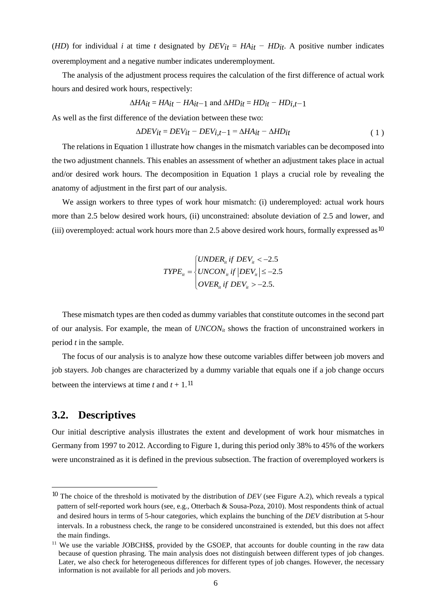(*HD*) for individual *i* at time *t* designated by  $DEV_{it} = HA_{it} - HD_{it}$ . A positive number indicates overemployment and a negative number indicates underemployment.

The analysis of the adjustment process requires the calculation of the first difference of actual work hours and desired work hours, respectively:

$$
\Delta HA_{it} = HA_{it} - HA_{it-1}
$$
 and  $\Delta HD_{it} = HD_{it} - HD_{i,t-1}$ 

As well as the first difference of the deviation between these two:

$$
\Delta DEV_{it} = DEV_{it} - DEV_{i,t-1} = \Delta HA_{it} - \Delta HD_{it}
$$
\n(1)

The relations in Equation 1 illustrate how changes in the mismatch variables can be decomposed into the two adjustment channels. This enables an assessment of whether an adjustment takes place in actual and/or desired work hours. The decomposition in Equation 1 plays a crucial role by revealing the anatomy of adjustment in the first part of our analysis.

We assign workers to three types of work hour mismatch: (i) underemployed: actual work hours more than 2.5 below desired work hours, (ii) unconstrained: absolute deviation of 2.5 and lower, and (iii) overemployed: actual work hours more than 2.5 above desired work hours, formally expressed as<sup>[10](#page-7-0)</sup>

$$
T YPE_{it} = \begin{cases} UNDER_{it} \text{ if } DEV_{it} < -2.5\\ UNCON_{it} \text{ if } |DEV_{it}| \le -2.5\\ OVER_{it} \text{ if } DEV_{it} > -2.5. \end{cases}
$$

These mismatch types are then coded as dummy variables that constitute outcomes in the second part of our analysis. For example, the mean of *UNCONit* shows the fraction of unconstrained workers in period *t* in the sample.

The focus of our analysis is to analyze how these outcome variables differ between job movers and job stayers. Job changes are characterized by a dummy variable that equals one if a job change occurs between the interviews at time  $t$  and  $t + 1$ .<sup>[11](#page-7-1)</sup>

#### **3.2. Descriptives**

 $\overline{a}$ 

Our initial descriptive analysis illustrates the extent and development of work hour mismatches in Germany from 1997 to 2012. According to [Figure](#page-21-0) 1, during this period only 38% to 45% of the workers were unconstrained as it is defined in the previous subsection. The fraction of overemployed workers is

<span id="page-7-0"></span><sup>10</sup> The choice of the threshold is motivated by the distribution of *DEV* (see Figure A.2), which reveals a typical pattern of self-reported work hours (see, e.g., Otterbach & Sousa-Poza, 2010). Most respondents think of actual and desired hours in terms of 5-hour categories, which explains the bunching of the *DEV* distribution at 5-hour intervals. In a robustness check, the range to be considered unconstrained is extended, but this does not affect the main findings.

<span id="page-7-1"></span><sup>&</sup>lt;sup>11</sup> We use the variable JOBCH\$\$, provided by the GSOEP, that accounts for double counting in the raw data because of question phrasing. The main analysis does not distinguish between different types of job changes. Later, we also check for heterogeneous differences for different types of job changes. However, the necessary information is not available for all periods and job movers.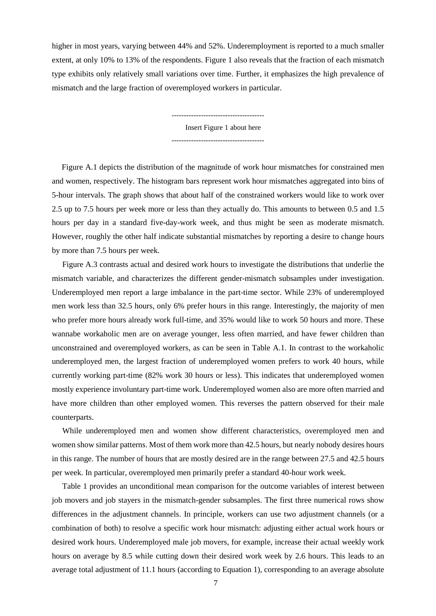higher in most years, varying between 44% and 52%. Underemployment is reported to a much smaller extent, at only 10% to 13% of the respondents. Figure 1 also reveals that the fraction of each mismatch type exhibits only relatively small variations over time. Further, it emphasizes the high prevalence of mismatch and the large fraction of overemployed workers in particular.

> -------------------------------------- Insert Figure 1 about here --------------------------------------

[Figure A](#page-25-0).1 depicts the distribution of the magnitude of work hour mismatches for constrained men and women, respectively. The histogram bars represent work hour mismatches aggregated into bins of 5-hour intervals. The graph shows that about half of the constrained workers would like to work over 2.5 up to 7.5 hours per week more or less than they actually do. This amounts to between 0.5 and 1.5 hours per day in a standard five-day-work week, and thus might be seen as moderate mismatch. However, roughly the other half indicate substantial mismatches by reporting a desire to change hours by more than 7.5 hours per week.

[Figure](#page-26-0) A.3 contrasts actual and desired work hours to investigate the distributions that underlie the mismatch variable, and characterizes the different gender-mismatch subsamples under investigation. Underemployed men report a large imbalance in the part-time sector. While 23% of underemployed men work less than 32.5 hours, only 6% prefer hours in this range. Interestingly, the majority of men who prefer more hours already work full-time, and 35% would like to work 50 hours and more. These wannabe workaholic men are on average younger, less often married, and have fewer children than unconstrained and overemployed workers, as can be seen in [Table A](#page-24-0).1. In contrast to the workaholic underemployed men, the largest fraction of underemployed women prefers to work 40 hours, while currently working part-time (82% work 30 hours or less). This indicates that underemployed women mostly experience involuntary part-time work. Underemployed women also are more often married and have more children than other employed women. This reverses the pattern observed for their male counterparts.

While underemployed men and women show different characteristics, overemployed men and women show similar patterns. Most of them work more than 42.5 hours, but nearly nobody desires hours in this range. The number of hours that are mostly desired are in the range between 27.5 and 42.5 hours per week. In particular, overemployed men primarily prefer a standard 40-hour work week.

[Table 1](#page-21-1) provides an unconditional mean comparison for the outcome variables of interest between job movers and job stayers in the mismatch-gender subsamples. The first three numerical rows show differences in the adjustment channels. In principle, workers can use two adjustment channels (or a combination of both) to resolve a specific work hour mismatch: adjusting either actual work hours or desired work hours. Underemployed male job movers, for example, increase their actual weekly work hours on average by 8.5 while cutting down their desired work week by 2.6 hours. This leads to an average total adjustment of 11.1 hours (according to Equation 1), corresponding to an average absolute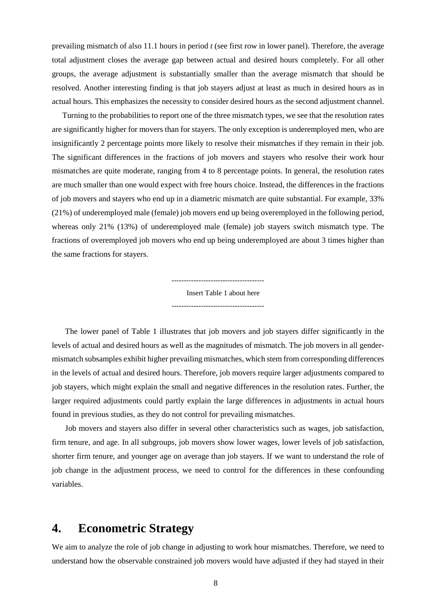prevailing mismatch of also 11.1 hours in period *t* (see first row in lower panel). Therefore, the average total adjustment closes the average gap between actual and desired hours completely. For all other groups, the average adjustment is substantially smaller than the average mismatch that should be resolved. Another interesting finding is that job stayers adjust at least as much in desired hours as in actual hours. This emphasizes the necessity to consider desired hours as the second adjustment channel.

Turning to the probabilities to report one of the three mismatch types, we see that the resolution rates are significantly higher for movers than for stayers. The only exception is underemployed men, who are insignificantly 2 percentage points more likely to resolve their mismatches if they remain in their job. The significant differences in the fractions of job movers and stayers who resolve their work hour mismatches are quite moderate, ranging from 4 to 8 percentage points. In general, the resolution rates are much smaller than one would expect with free hours choice. Instead, the differences in the fractions of job movers and stayers who end up in a diametric mismatch are quite substantial. For example, 33% (21%) of underemployed male (female) job movers end up being overemployed in the following period, whereas only 21% (13%) of underemployed male (female) job stayers switch mismatch type. The fractions of overemployed job movers who end up being underemployed are about 3 times higher than the same fractions for stayers.

> Insert Table 1 about here --------------------------------------

 $-$ 

The lower panel of Table 1 illustrates that job movers and job stayers differ significantly in the levels of actual and desired hours as well as the magnitudes of mismatch. The job movers in all gendermismatch subsamples exhibit higher prevailing mismatches, which stem from corresponding differences in the levels of actual and desired hours. Therefore, job movers require larger adjustments compared to job stayers, which might explain the small and negative differences in the resolution rates. Further, the larger required adjustments could partly explain the large differences in adjustments in actual hours found in previous studies, as they do not control for prevailing mismatches.

Job movers and stayers also differ in several other characteristics such as wages, job satisfaction, firm tenure, and age. In all subgroups, job movers show lower wages, lower levels of job satisfaction, shorter firm tenure, and younger age on average than job stayers. If we want to understand the role of job change in the adjustment process, we need to control for the differences in these confounding variables.

#### **4. Econometric Strategy**

We aim to analyze the role of job change in adjusting to work hour mismatches. Therefore, we need to understand how the observable constrained job movers would have adjusted if they had stayed in their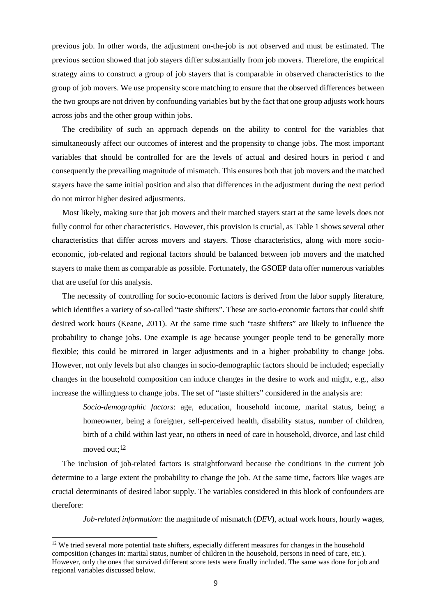previous job. In other words, the adjustment on-the-job is not observed and must be estimated. The previous section showed that job stayers differ substantially from job movers. Therefore, the empirical strategy aims to construct a group of job stayers that is comparable in observed characteristics to the group of job movers. We use propensity score matching to ensure that the observed differences between the two groups are not driven by confounding variables but by the fact that one group adjusts work hours across jobs and the other group within jobs.

The credibility of such an approach depends on the ability to control for the variables that simultaneously affect our outcomes of interest and the propensity to change jobs. The most important variables that should be controlled for are the levels of actual and desired hours in period *t* and consequently the prevailing magnitude of mismatch. This ensures both that job movers and the matched stayers have the same initial position and also that differences in the adjustment during the next period do not mirror higher desired adjustments.

Most likely, making sure that job movers and their matched stayers start at the same levels does not fully control for other characteristics. However, this provision is crucial, as Table 1 shows several other characteristics that differ across movers and stayers. Those characteristics, along with more socioeconomic, job-related and regional factors should be balanced between job movers and the matched stayers to make them as comparable as possible. Fortunately, the GSOEP data offer numerous variables that are useful for this analysis.

The necessity of controlling for socio-economic factors is derived from the labor supply literature, which identifies a variety of so-called "taste shifters". These are socio-economic factors that could shift desired work hours (Keane, 2011). At the same time such "taste shifters" are likely to influence the probability to change jobs. One example is age because younger people tend to be generally more flexible; this could be mirrored in larger adjustments and in a higher probability to change jobs. However, not only levels but also changes in socio-demographic factors should be included; especially changes in the household composition can induce changes in the desire to work and might, e.g., also increase the willingness to change jobs. The set of "taste shifters" considered in the analysis are:

*Socio-demographic factors*: age, education, household income, marital status, being a homeowner, being a foreigner, self-perceived health, disability status, number of children, birth of a child within last year, no others in need of care in household, divorce, and last child moved out;[12](#page-10-0)

The inclusion of job-related factors is straightforward because the conditions in the current job determine to a large extent the probability to change the job. At the same time, factors like wages are crucial determinants of desired labor supply. The variables considered in this block of confounders are therefore:

*Job-related information:* the magnitude of mismatch (*DEV*), actual work hours, hourly wages,

<span id="page-10-0"></span><sup>&</sup>lt;sup>12</sup> We tried several more potential taste shifters, especially different measures for changes in the household composition (changes in: marital status, number of children in the household, persons in need of care, etc.). However, only the ones that survived different score tests were finally included. The same was done for job and regional variables discussed below.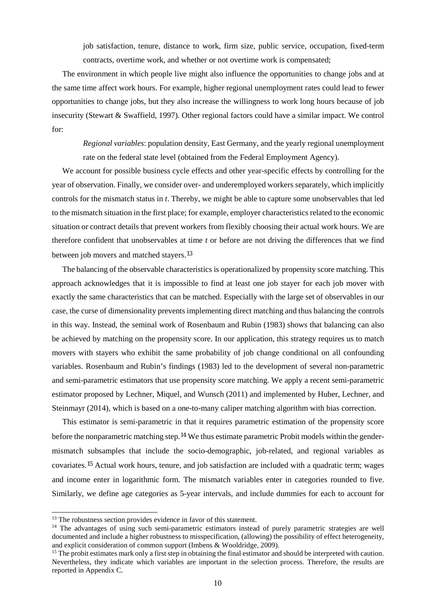job satisfaction, tenure, distance to work, firm size, public service, occupation, fixed-term contracts, overtime work, and whether or not overtime work is compensated;

The environment in which people live might also influence the opportunities to change jobs and at the same time affect work hours. For example, higher regional unemployment rates could lead to fewer opportunities to change jobs, but they also increase the willingness to work long hours because of job insecurity (Stewart & Swaffield, 1997). Other regional factors could have a similar impact. We control for:

*Regional variables*: population density, East Germany, and the yearly regional unemployment rate on the federal state level (obtained from the Federal Employment Agency).

We account for possible business cycle effects and other year-specific effects by controlling for the year of observation. Finally, we consider over- and underemployed workers separately, which implicitly controls for the mismatch status in *t*. Thereby, we might be able to capture some unobservables that led to the mismatch situation in the first place; for example, employer characteristics related to the economic situation or contract details that prevent workers from flexibly choosing their actual work hours. We are therefore confident that unobservables at time *t* or before are not driving the differences that we find between job movers and matched stayers.[13](#page-11-0)

The balancing of the observable characteristics is operationalized by propensity score matching. This approach acknowledges that it is impossible to find at least one job stayer for each job mover with exactly the same characteristics that can be matched. Especially with the large set of observables in our case, the curse of dimensionality prevents implementing direct matching and thus balancing the controls in this way. Instead, the seminal work of Rosenbaum and Rubin (1983) shows that balancing can also be achieved by matching on the propensity score. In our application, this strategy requires us to match movers with stayers who exhibit the same probability of job change conditional on all confounding variables. Rosenbaum and Rubin's findings (1983) led to the development of several non-parametric and semi-parametric estimators that use propensity score matching. We apply a recent semi-parametric estimator proposed by Lechner, Miquel, and Wunsch (2011) and implemented by Huber, Lechner, and Steinmayr (2014), which is based on a one-to-many caliper matching algorithm with bias correction.

This estimator is semi-parametric in that it requires parametric estimation of the propensity score before the nonparametric matching step.[14](#page-11-1) We thus estimate parametric Probit models within the gendermismatch subsamples that include the socio-demographic, job-related, and regional variables as covariates.[15](#page-11-2) Actual work hours, tenure, and job satisfaction are included with a quadratic term; wages and income enter in logarithmic form. The mismatch variables enter in categories rounded to five. Similarly, we define age categories as 5-year intervals, and include dummies for each to account for

<span id="page-11-0"></span><sup>&</sup>lt;sup>13</sup> The robustness section provides evidence in favor of this statement.

<span id="page-11-1"></span><sup>&</sup>lt;sup>14</sup> The advantages of using such semi-parametric estimators instead of purely parametric strategies are well documented and include a higher robustness to misspecification, (allowing) the possibility of effect heterogeneity, and explicit consideration of common support (Imbens & Wooldridge, 2009).<br><sup>15</sup> The probit estimates mark only a first step in obtaining the final estimator and should be interpreted with caution.

<span id="page-11-2"></span>Nevertheless, they indicate which variables are important in the selection process. Therefore, the results are reported in Appendix C.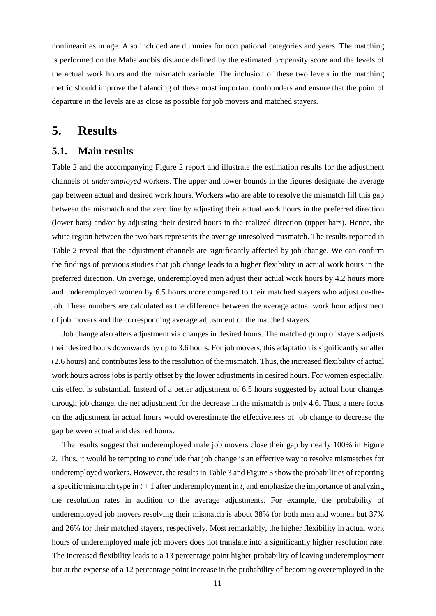nonlinearities in age. Also included are dummies for occupational categories and years. The matching is performed on the Mahalanobis distance defined by the estimated propensity score and the levels of the actual work hours and the mismatch variable. The inclusion of these two levels in the matching metric should improve the balancing of these most important confounders and ensure that the point of departure in the levels are as close as possible for job movers and matched stayers.

#### **5. Results**

#### **5.1. Main results**

[Table 2](#page-22-0) and the accompanying [Figure 2](#page-22-1) report and illustrate the estimation results for the adjustment channels of *underemployed* workers. The upper and lower bounds in the figures designate the average gap between actual and desired work hours. Workers who are able to resolve the mismatch fill this gap between the mismatch and the zero line by adjusting their actual work hours in the preferred direction (lower bars) and/or by adjusting their desired hours in the realized direction (upper bars). Hence, the white region between the two bars represents the average unresolved mismatch. The results reported in [Table 2](#page-22-0) reveal that the adjustment channels are significantly affected by job change. We can confirm the findings of previous studies that job change leads to a higher flexibility in actual work hours in the preferred direction. On average, underemployed men adjust their actual work hours by 4.2 hours more and underemployed women by 6.5 hours more compared to their matched stayers who adjust on-thejob. These numbers are calculated as the difference between the average actual work hour adjustment of job movers and the corresponding average adjustment of the matched stayers.

Job change also alters adjustment via changes in desired hours. The matched group of stayers adjusts their desired hours downwards by up to 3.6 hours. For job movers, this adaptation is significantly smaller (2.6 hours) and contributes less to the resolution of the mismatch. Thus, the increased flexibility of actual work hours across jobs is partly offset by the lower adjustments in desired hours. For women especially, this effect is substantial. Instead of a better adjustment of 6.5 hours suggested by actual hour changes through job change, the net adjustment for the decrease in the mismatch is only 4.6. Thus, a mere focus on the adjustment in actual hours would overestimate the effectiveness of job change to decrease the gap between actual and desired hours.

The results suggest that underemployed male job movers close their gap by nearly 100% in [Figure](#page-22-1)  2. Thus, it would be tempting to conclude that job change is an effective way to resolve mismatches for underemployed workers. However, the results in [Table 3](#page-22-2) and Figure 3 show the probabilities of reporting a specific mismatch type in  $t + 1$  after underemployment in  $t$ , and emphasize the importance of analyzing the resolution rates in addition to the average adjustments. For example, the probability of underemployed job movers resolving their mismatch is about 38% for both men and women but 37% and 26% for their matched stayers, respectively. Most remarkably, the higher flexibility in actual work hours of underemployed male job movers does not translate into a significantly higher resolution rate. The increased flexibility leads to a 13 percentage point higher probability of leaving underemployment but at the expense of a 12 percentage point increase in the probability of becoming overemployed in the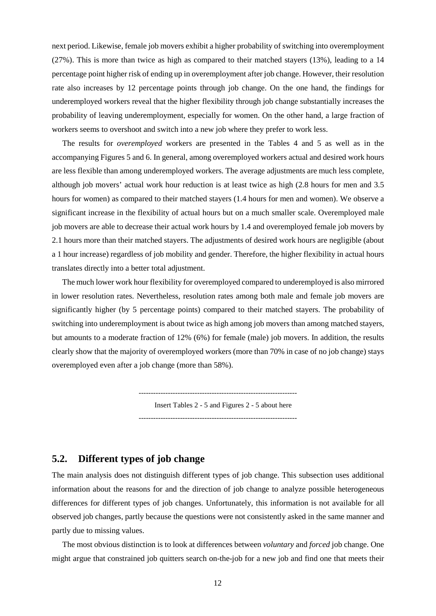next period. Likewise, female job movers exhibit a higher probability of switching into overemployment (27%). This is more than twice as high as compared to their matched stayers (13%), leading to a 14 percentage point higher risk of ending up in overemployment after job change. However, their resolution rate also increases by 12 percentage points through job change. On the one hand, the findings for underemployed workers reveal that the higher flexibility through job change substantially increases the probability of leaving underemployment, especially for women. On the other hand, a large fraction of workers seems to overshoot and switch into a new job where they prefer to work less.

The results for *overemployed* workers are presented in the [Tables](#page-23-0) 4 and 5 as well as in the accompanying [Figures](#page-23-1) 5 and [6.](#page-23-2) In general, among overemployed workers actual and desired work hours are less flexible than among underemployed workers. The average adjustments are much less complete, although job movers' actual work hour reduction is at least twice as high (2.8 hours for men and 3.5 hours for women) as compared to their matched stayers (1.4 hours for men and women). We observe a significant increase in the flexibility of actual hours but on a much smaller scale. Overemployed male job movers are able to decrease their actual work hours by 1.4 and overemployed female job movers by 2.1 hours more than their matched stayers. The adjustments of desired work hours are negligible (about a 1 hour increase) regardless of job mobility and gender. Therefore, the higher flexibility in actual hours translates directly into a better total adjustment.

The much lower work hour flexibility for overemployed compared to underemployed is also mirrored in lower resolution rates. Nevertheless, resolution rates among both male and female job movers are significantly higher (by 5 percentage points) compared to their matched stayers. The probability of switching into underemployment is about twice as high among job movers than among matched stayers, but amounts to a moderate fraction of 12% (6%) for female (male) job movers. In addition, the results clearly show that the majority of overemployed workers (more than 70% in case of no job change) stays overemployed even after a job change (more than 58%).

> ----------------------------------------------------------------- Insert Tables 2 - 5 and Figures 2 - 5 about here  $-$

#### **5.2. Different types of job change**

The main analysis does not distinguish different types of job change. This subsection uses additional information about the reasons for and the direction of job change to analyze possible heterogeneous differences for different types of job changes. Unfortunately, this information is not available for all observed job changes, partly because the questions were not consistently asked in the same manner and partly due to missing values.

The most obvious distinction is to look at differences between *voluntary* and *forced* job change. One might argue that constrained job quitters search on-the-job for a new job and find one that meets their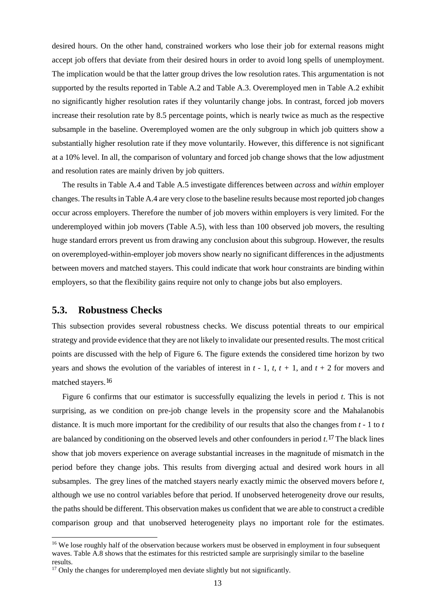desired hours. On the other hand, constrained workers who lose their job for external reasons might accept job offers that deviate from their desired hours in order to avoid long spells of unemployment. The implication would be that the latter group drives the low resolution rates. This argumentation is not supported by the results reported in [Table A](#page-24-0).2 and [Table](#page-28-0) A.3. Overemployed men in [Table A](#page-24-0).2 exhibit no significantly higher resolution rates if they voluntarily change jobs. In contrast, forced job movers increase their resolution rate by 8.5 percentage points, which is nearly twice as much as the respective subsample in the baseline. Overemployed women are the only subgroup in which job quitters show a substantially higher resolution rate if they move voluntarily. However, this difference is not significant at a 10% level. In all, the comparison of voluntary and forced job change shows that the low adjustment and resolution rates are mainly driven by job quitters.

The results in [Table](#page-29-0) A.4 and [Table](#page-29-1) A.5 investigate differences between *across* and *within* employer changes. The results in [Table](#page-29-0) A.4 are very close to the baseline results because most reported job changes occur across employers. Therefore the number of job movers within employers is very limited. For the underemployed within job movers (Table A.5), with less than 100 observed job movers, the resulting huge standard errors prevent us from drawing any conclusion about this subgroup. However, the results on overemployed-within-employer job movers show nearly no significant differences in the adjustments between movers and matched stayers. This could indicate that work hour constraints are binding within employers, so that the flexibility gains require not only to change jobs but also employers.

#### **5.3. Robustness Checks**

This subsection provides several robustness checks. We discuss potential threats to our empirical strategy and provide evidence that they are not likely to invalidate our presented results. The most critical points are discussed with the help of [Figure 6](#page-24-1). The figure extends the considered time horizon by two years and shows the evolution of the variables of interest in  $t - 1$ ,  $t$ ,  $t + 1$ , and  $t + 2$  for movers and matched stayers.[16](#page-14-0)

[Figure 6](#page-24-1) confirms that our estimator is successfully equalizing the levels in period *t*. This is not surprising, as we condition on pre-job change levels in the propensity score and the Mahalanobis distance. It is much more important for the credibility of our results that also the changes from *t -* 1 to *t* are balanced by conditioning on the observed levels and other confounders in period *t*.[17](#page-14-1) The black lines show that job movers experience on average substantial increases in the magnitude of mismatch in the period before they change jobs. This results from diverging actual and desired work hours in all subsamples. The grey lines of the matched stayers nearly exactly mimic the observed movers before *t*, although we use no control variables before that period. If unobserved heterogeneity drove our results, the paths should be different. This observation makes us confident that we are able to construct a credible comparison group and that unobserved heterogeneity plays no important role for the estimates.

<span id="page-14-0"></span><sup>&</sup>lt;sup>16</sup> We lose roughly half of the observation because workers must be observed in employment in four subsequent waves. [Table A.8](#page-31-0) shows that the estimates for this restricted sample are surprisingly similar to the baseline results.

<span id="page-14-1"></span><sup>&</sup>lt;sup>17</sup> Only the changes for underemployed men deviate slightly but not significantly.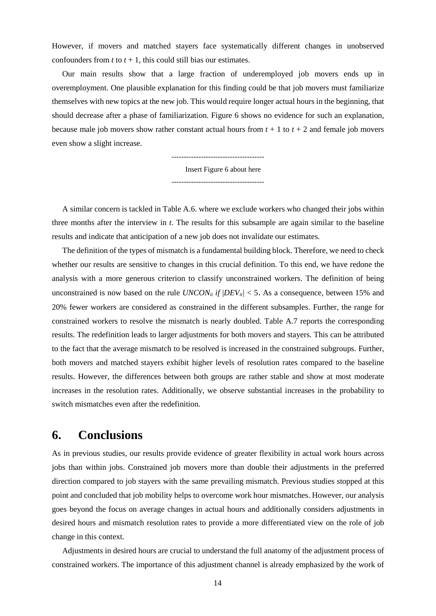However, if movers and matched stayers face systematically different changes in unobserved confounders from  $t$  to  $t + 1$ , this could still bias our estimates.

Our main results show that a large fraction of underemployed job movers ends up in overemployment. One plausible explanation for this finding could be that job movers must familiarize themselves with new topics at the new job. This would require longer actual hours in the beginning, that should decrease after a phase of familiarization. [Figure 6](#page-24-1) shows no evidence for such an explanation, because male job movers show rather constant actual hours from  $t + 1$  to  $t + 2$  and female job movers even show a slight increase.

> -------------------------------------- Insert Figure 6 about here --------------------------------------

A similar concern is tackled in [Table A](#page-30-0).6. where we exclude workers who changed their jobs within three months after the interview in *t*. The results for this subsample are again similar to the baseline results and indicate that anticipation of a new job does not invalidate our estimates.

The definition of the types of mismatch is a fundamental building block. Therefore, we need to check whether our results are sensitive to changes in this crucial definition. To this end, we have redone the analysis with a more generous criterion to classify unconstrained workers. The definition of being unconstrained is now based on the rule *UNCON<sub>it</sub> if*  $|DEV_{it}| < 5$ . As a consequence, between 15% and 20% fewer workers are considered as constrained in the different subsamples. Further, the range for constrained workers to resolve the mismatch is nearly doubled. [Table A](#page-30-1).7 reports the corresponding results. The redefinition leads to larger adjustments for both movers and stayers. This can be attributed to the fact that the average mismatch to be resolved is increased in the constrained subgroups. Further, both movers and matched stayers exhibit higher levels of resolution rates compared to the baseline results. However, the differences between both groups are rather stable and show at most moderate increases in the resolution rates. Additionally, we observe substantial increases in the probability to switch mismatches even after the redefinition.

### **6. Conclusions**

As in previous studies, our results provide evidence of greater flexibility in actual work hours across jobs than within jobs. Constrained job movers more than double their adjustments in the preferred direction compared to job stayers with the same prevailing mismatch. Previous studies stopped at this point and concluded that job mobility helps to overcome work hour mismatches. However, our analysis goes beyond the focus on average changes in actual hours and additionally considers adjustments in desired hours and mismatch resolution rates to provide a more differentiated view on the role of job change in this context.

Adjustments in desired hours are crucial to understand the full anatomy of the adjustment process of constrained workers. The importance of this adjustment channel is already emphasized by the work of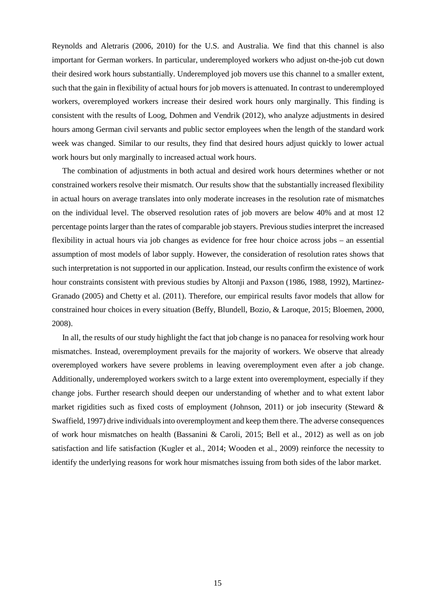Reynolds and Aletraris (2006, 2010) for the U.S. and Australia. We find that this channel is also important for German workers. In particular, underemployed workers who adjust on-the-job cut down their desired work hours substantially. Underemployed job movers use this channel to a smaller extent, such that the gain in flexibility of actual hours for job movers is attenuated. In contrast to underemployed workers, overemployed workers increase their desired work hours only marginally. This finding is consistent with the results of Loog, Dohmen and Vendrik (2012), who analyze adjustments in desired hours among German civil servants and public sector employees when the length of the standard work week was changed. Similar to our results, they find that desired hours adjust quickly to lower actual work hours but only marginally to increased actual work hours.

The combination of adjustments in both actual and desired work hours determines whether or not constrained workers resolve their mismatch. Our results show that the substantially increased flexibility in actual hours on average translates into only moderate increases in the resolution rate of mismatches on the individual level. The observed resolution rates of job movers are below 40% and at most 12 percentage points larger than the rates of comparable job stayers. Previous studies interpret the increased flexibility in actual hours via job changes as evidence for free hour choice across jobs – an essential assumption of most models of labor supply. However, the consideration of resolution rates shows that such interpretation is not supported in our application. Instead, our results confirm the existence of work hour constraints consistent with previous studies by Altonji and Paxson (1986, 1988, 1992), Martinez-Granado (2005) and Chetty et al. (2011). Therefore, our empirical results favor models that allow for constrained hour choices in every situation (Beffy, Blundell, Bozio, & Laroque, 2015; Bloemen, 2000, 2008).

In all, the results of our study highlight the fact that job change is no panacea for resolving work hour mismatches. Instead, overemployment prevails for the majority of workers. We observe that already overemployed workers have severe problems in leaving overemployment even after a job change. Additionally, underemployed workers switch to a large extent into overemployment, especially if they change jobs. Further research should deepen our understanding of whether and to what extent labor market rigidities such as fixed costs of employment (Johnson, 2011) or job insecurity (Steward & Swaffield, 1997) drive individuals into overemployment and keep them there. The adverse consequences of work hour mismatches on health (Bassanini & Caroli, 2015; Bell et al., 2012) as well as on job satisfaction and life satisfaction (Kugler et al., 2014; Wooden et al., 2009) reinforce the necessity to identify the underlying reasons for work hour mismatches issuing from both sides of the labor market.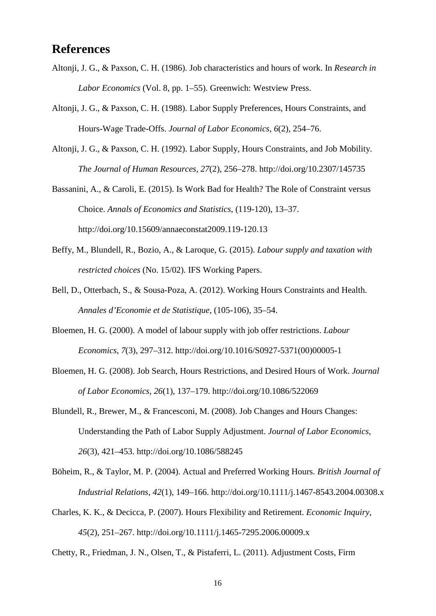## **References**

- Altonji, J. G., & Paxson, C. H. (1986). Job characteristics and hours of work. In *Research in Labor Economics* (Vol. 8, pp. 1–55). Greenwich: Westview Press.
- Altonji, J. G., & Paxson, C. H. (1988). Labor Supply Preferences, Hours Constraints, and Hours-Wage Trade-Offs. *Journal of Labor Economics*, *6*(2), 254–76.
- Altonji, J. G., & Paxson, C. H. (1992). Labor Supply, Hours Constraints, and Job Mobility. *The Journal of Human Resources*, *27*(2), 256–278. http://doi.org/10.2307/145735
- Bassanini, A., & Caroli, E. (2015). Is Work Bad for Health? The Role of Constraint versus Choice. *Annals of Economics and Statistics*, (119-120), 13–37. http://doi.org/10.15609/annaeconstat2009.119-120.13
- Beffy, M., Blundell, R., Bozio, A., & Laroque, G. (2015). *Labour supply and taxation with restricted choices* (No. 15/02). IFS Working Papers.
- Bell, D., Otterbach, S., & Sousa-Poza, A. (2012). Working Hours Constraints and Health. *Annales d'Economie et de Statistique*, (105-106), 35–54.
- Bloemen, H. G. (2000). A model of labour supply with job offer restrictions. *Labour Economics*, *7*(3), 297–312. http://doi.org/10.1016/S0927-5371(00)00005-1
- Bloemen, H. G. (2008). Job Search, Hours Restrictions, and Desired Hours of Work. *Journal of Labor Economics*, *26*(1), 137–179. http://doi.org/10.1086/522069
- Blundell, R., Brewer, M., & Francesconi, M. (2008). Job Changes and Hours Changes: Understanding the Path of Labor Supply Adjustment. *Journal of Labor Economics*, *26*(3), 421–453. http://doi.org/10.1086/588245
- Böheim, R., & Taylor, M. P. (2004). Actual and Preferred Working Hours. *British Journal of Industrial Relations*, *42*(1), 149–166. http://doi.org/10.1111/j.1467-8543.2004.00308.x
- Charles, K. K., & Decicca, P. (2007). Hours Flexibility and Retirement. *Economic Inquiry*, *45*(2), 251–267. http://doi.org/10.1111/j.1465-7295.2006.00009.x

Chetty, R., Friedman, J. N., Olsen, T., & Pistaferri, L. (2011). Adjustment Costs, Firm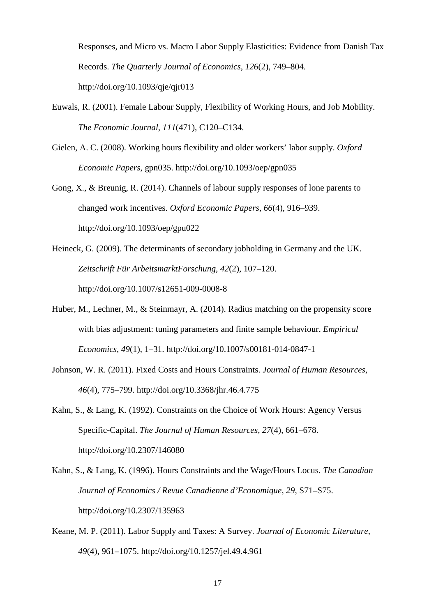Responses, and Micro vs. Macro Labor Supply Elasticities: Evidence from Danish Tax Records. *The Quarterly Journal of Economics*, *126*(2), 749–804. http://doi.org/10.1093/qje/qjr013

- Euwals, R. (2001). Female Labour Supply, Flexibility of Working Hours, and Job Mobility. *The Economic Journal*, *111*(471), C120–C134.
- Gielen, A. C. (2008). Working hours flexibility and older workers' labor supply. *Oxford Economic Papers*, gpn035. http://doi.org/10.1093/oep/gpn035
- Gong, X., & Breunig, R. (2014). Channels of labour supply responses of lone parents to changed work incentives. *Oxford Economic Papers*, *66*(4), 916–939. http://doi.org/10.1093/oep/gpu022
- Heineck, G. (2009). The determinants of secondary jobholding in Germany and the UK. *Zeitschrift Für ArbeitsmarktForschung*, *42*(2), 107–120. http://doi.org/10.1007/s12651-009-0008-8
- Huber, M., Lechner, M., & Steinmayr, A. (2014). Radius matching on the propensity score with bias adjustment: tuning parameters and finite sample behaviour. *Empirical Economics*, *49*(1), 1–31. http://doi.org/10.1007/s00181-014-0847-1
- Johnson, W. R. (2011). Fixed Costs and Hours Constraints. *Journal of Human Resources*, *46*(4), 775–799. http://doi.org/10.3368/jhr.46.4.775
- Kahn, S., & Lang, K. (1992). Constraints on the Choice of Work Hours: Agency Versus Specific-Capital. *The Journal of Human Resources*, *27*(4), 661–678. http://doi.org/10.2307/146080
- Kahn, S., & Lang, K. (1996). Hours Constraints and the Wage/Hours Locus. *The Canadian Journal of Economics / Revue Canadienne d'Economique*, *29*, S71–S75. http://doi.org/10.2307/135963
- Keane, M. P. (2011). Labor Supply and Taxes: A Survey. *Journal of Economic Literature*, *49*(4), 961–1075. http://doi.org/10.1257/jel.49.4.961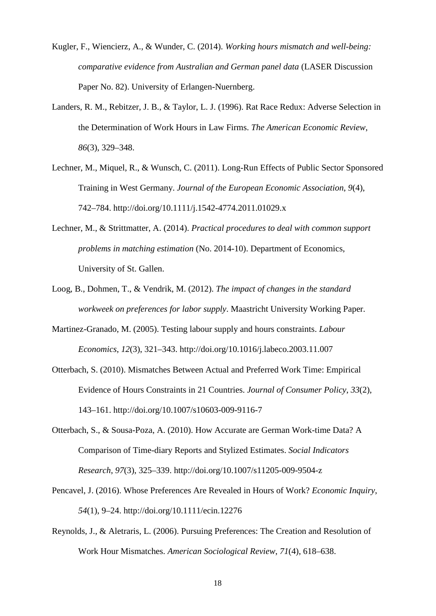- Kugler, F., Wiencierz, A., & Wunder, C. (2014). *Working hours mismatch and well-being: comparative evidence from Australian and German panel data* (LASER Discussion Paper No. 82). University of Erlangen-Nuernberg.
- Landers, R. M., Rebitzer, J. B., & Taylor, L. J. (1996). Rat Race Redux: Adverse Selection in the Determination of Work Hours in Law Firms. *The American Economic Review*, *86*(3), 329–348.
- Lechner, M., Miquel, R., & Wunsch, C. (2011). Long-Run Effects of Public Sector Sponsored Training in West Germany. *Journal of the European Economic Association*, *9*(4), 742–784. http://doi.org/10.1111/j.1542-4774.2011.01029.x
- Lechner, M., & Strittmatter, A. (2014). *Practical procedures to deal with common support problems in matching estimation* (No. 2014-10). Department of Economics, University of St. Gallen.
- Loog, B., Dohmen, T., & Vendrik, M. (2012). *The impact of changes in the standard workweek on preferences for labor supply*. Maastricht University Working Paper.
- Martinez-Granado, M. (2005). Testing labour supply and hours constraints. *Labour Economics*, *12*(3), 321–343. http://doi.org/10.1016/j.labeco.2003.11.007
- Otterbach, S. (2010). Mismatches Between Actual and Preferred Work Time: Empirical Evidence of Hours Constraints in 21 Countries. *Journal of Consumer Policy*, *33*(2), 143–161. http://doi.org/10.1007/s10603-009-9116-7
- Otterbach, S., & Sousa-Poza, A. (2010). How Accurate are German Work-time Data? A Comparison of Time-diary Reports and Stylized Estimates. *Social Indicators Research*, *97*(3), 325–339. http://doi.org/10.1007/s11205-009-9504-z
- Pencavel, J. (2016). Whose Preferences Are Revealed in Hours of Work? *Economic Inquiry*, *54*(1), 9–24. http://doi.org/10.1111/ecin.12276
- Reynolds, J., & Aletraris, L. (2006). Pursuing Preferences: The Creation and Resolution of Work Hour Mismatches. *American Sociological Review*, *71*(4), 618–638.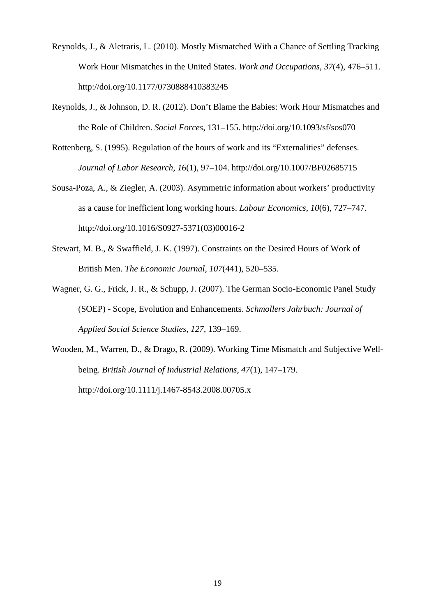- Reynolds, J., & Aletraris, L. (2010). Mostly Mismatched With a Chance of Settling Tracking Work Hour Mismatches in the United States. *Work and Occupations*, *37*(4), 476–511. http://doi.org/10.1177/0730888410383245
- Reynolds, J., & Johnson, D. R. (2012). Don't Blame the Babies: Work Hour Mismatches and the Role of Children. *Social Forces*, 131–155. http://doi.org/10.1093/sf/sos070
- Rottenberg, S. (1995). Regulation of the hours of work and its "Externalities" defenses. *Journal of Labor Research*, *16*(1), 97–104. http://doi.org/10.1007/BF02685715
- Sousa-Poza, A., & Ziegler, A. (2003). Asymmetric information about workers' productivity as a cause for inefficient long working hours. *Labour Economics*, *10*(6), 727–747. http://doi.org/10.1016/S0927-5371(03)00016-2
- Stewart, M. B., & Swaffield, J. K. (1997). Constraints on the Desired Hours of Work of British Men. *The Economic Journal*, *107*(441), 520–535.
- Wagner, G. G., Frick, J. R., & Schupp, J. (2007). The German Socio-Economic Panel Study (SOEP) - Scope, Evolution and Enhancements. *Schmollers Jahrbuch: Journal of Applied Social Science Studies*, *127*, 139–169.
- Wooden, M., Warren, D., & Drago, R. (2009). Working Time Mismatch and Subjective Wellbeing. *British Journal of Industrial Relations*, *47*(1), 147–179. http://doi.org/10.1111/j.1467-8543.2008.00705.x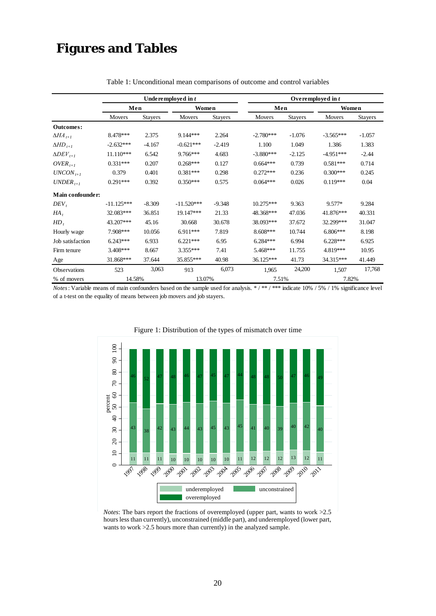## **Figures and Tables**

<span id="page-21-1"></span>

|                             |              |                | Underemployed in t |          | Overemployed in t |                |             |          |  |
|-----------------------------|--------------|----------------|--------------------|----------|-------------------|----------------|-------------|----------|--|
|                             | Men          |                | Women              |          | Men               |                | Women       |          |  |
|                             | Movers       | <b>Stayers</b> | Movers             | Stayers  | Movers            | <b>Stayers</b> | Movers      | Stayers  |  |
| Outcomes:                   |              |                |                    |          |                   |                |             |          |  |
| $\Delta H\!A_{t+1}$         | 8.478***     | 2.375          | $9.144***$         | 2.264    | $-2.780***$       | $-1.076$       | $-3.565***$ | $-1.057$ |  |
| $\Delta HD_{t+1}$           | $-2.632***$  | $-4.167$       | $-0.621***$        | $-2.419$ | 1.100             | 1.049          | 1.386       | 1.383    |  |
| $\Delta$ DEV <sub>t+1</sub> | $11.110***$  | 6.542          | 9.766***           | 4.683    | $-3.880***$       | $-2.125$       | $-4.951***$ | $-2.44$  |  |
| $OVER_{t+1}$                | $0.331***$   | 0.207          | $0.268***$         | 0.127    | $0.664***$        | 0.739          | $0.581***$  | 0.714    |  |
| $UNCON_{t+1}$               | 0.379        | 0.401          | $0.381***$         | 0.298    | $0.272***$        | 0.236          | $0.300***$  | 0.245    |  |
| $UNDER_{t+1}$               | $0.291***$   | 0.392          | $0.350***$         | 0.575    | $0.064***$        | 0.026          | $0.119***$  | 0.04     |  |
| Main confounder:            |              |                |                    |          |                   |                |             |          |  |
| DEV,                        | $-11.125***$ | $-8.309$       | $-11.520***$       | $-9.348$ | $10.275***$       | 9.363          | $9.577*$    | 9.284    |  |
| $HA$ ,                      | 32.083***    | 36.851         | 19.147***          | 21.33    | 48.368***         | 47.036         | 41.876***   | 40.331   |  |
| HD,                         | 43.207***    | 45.16          | 30.668             | 30.678   | 38.093***         | 37.672         | 32.299***   | 31.047   |  |
| Hourly wage                 | 7.908***     | 10.056         | $6.911***$         | 7.819    | $8.608***$        | 10.744         | $6.806***$  | 8.198    |  |
| Job satisfaction            | $6.243***$   | 6.933          | $6.221***$         | 6.95     | $6.284***$        | 6.994          | $6.228***$  | 6.925    |  |
| Firm tenure                 | $3.408***$   | 8.667          | $3.355***$         | 7.41     | 5.468***          | 11.755         | 4.819***    | 10.95    |  |
| Age                         | 31.868***    | 37.644         | 35.855***          | 40.98    | 36.125***         | 41.73          | 34.315***   | 41.449   |  |
| Observations                | 523          | 3,063          | 913                | 6,073    | 1,965             | 24,200         | 1,507       | 17,768   |  |
| % of movers                 | 14.58%       |                | 13.07%             |          | 7.51%             |                | 7.82%       |          |  |

Table 1: Unconditional mean comparisons of outcome and control variables

<span id="page-21-0"></span>*Notes*: Variable means of main confounders based on the sample used for analysis. \* / \*\* / \*\*\* indicate 10% / 5% / 1% significance level of a t-test on the equality of means between job movers and job stayers.





*Notes*: The bars report the fractions of overemployed (upper part, wants to work >2.5 hours less than currently), unconstrained (middle part), and underemployed (lower part, wants to work >2.5 hours more than currently) in the analyzed sample.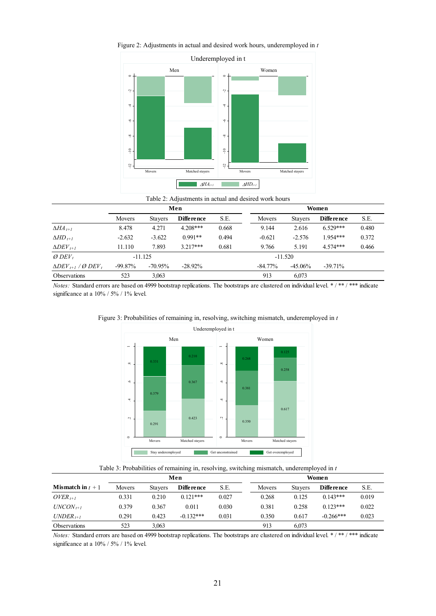

Figure 2: Adjustments in actual and desired work hours, underemployed in *t*

| Table 2: Adjustments in actual and desired work hours |  |  |  |  |  |
|-------------------------------------------------------|--|--|--|--|--|
|-------------------------------------------------------|--|--|--|--|--|

<span id="page-22-0"></span>

|                                                  |               |                | Men               |       | Women      |                |                   |       |
|--------------------------------------------------|---------------|----------------|-------------------|-------|------------|----------------|-------------------|-------|
|                                                  | <b>Movers</b> | <b>Stavers</b> | <b>Difference</b> | S.E.  | Movers     | <b>Stavers</b> | <b>Difference</b> | S.E.  |
| $\Delta H\!A_{t+1}$                              | 8.478         | 4.271          | $4.208***$        | 0.668 | 9.144      | 2.616          | $6.529***$        | 0.480 |
| $\Delta HD$ <sub>t+1</sub>                       | $-2.632$      | $-3.622$       | $0.991**$         | 0.494 | $-0.621$   | $-2.576$       | $1.954***$        | 0.372 |
| $\Delta DEF_{t+1}$                               | 11.110        | 7.893          | $3217***$         | 0.681 | 9.766      | 5.191          | 4 574***          | 0.466 |
| $Ø$ DEV,                                         |               | $-11.125$      |                   |       |            | $-11.520$      |                   |       |
| $\Delta$ DEV <sub>t+1</sub> / Ø DEV <sub>t</sub> | $-99.87\%$    | $-70.95\%$     | $-28.92\%$        |       | $-84.77\%$ | $-45.06\%$     | $-39.71\%$        |       |
| <b>Observations</b>                              | 523           | 3.063          |                   |       | 913        | 6.073          |                   |       |

<span id="page-22-1"></span>

Figure 3: Probabilities of remaining in, resolving, switching mismatch, underemployed in *t*



<span id="page-22-2"></span>

|                            |        |                | Men               |       | <b>Women</b> |                |                   |       |  |
|----------------------------|--------|----------------|-------------------|-------|--------------|----------------|-------------------|-------|--|
| <b>Mismatch in</b> $t + 1$ | Movers | <b>Stavers</b> | <b>Difference</b> | S.E.  | Movers       | <b>Stavers</b> | <b>Difference</b> | S.E.  |  |
| $OVER_{t+1}$               | 0.331  | 0.210          | $0.121***$        | 0.027 | 0.268        | 0.125          | $0.143***$        | 0.019 |  |
| $UNCON_{t+1}$              | 0.379  | 0.367          | 0.011             | 0.030 | 0.381        | 0.258          | $0.123***$        | 0.022 |  |
| $UNDER_{t+1}$              | 0.291  | 0.423          | $-0.132***$       | 0.031 | 0.350        | 0.617          | $-0.266$ ***      | 0.023 |  |
| Observations               | 523    | 3.063          |                   |       | 913          | 6.073          |                   |       |  |

*Notes:* Standard errors are based on 4999 bootstrap replications. The bootstraps are clustered on individual level. \* / \*\*\* *i* mdicate significance at a  $10\%$  / 5% / 1% level.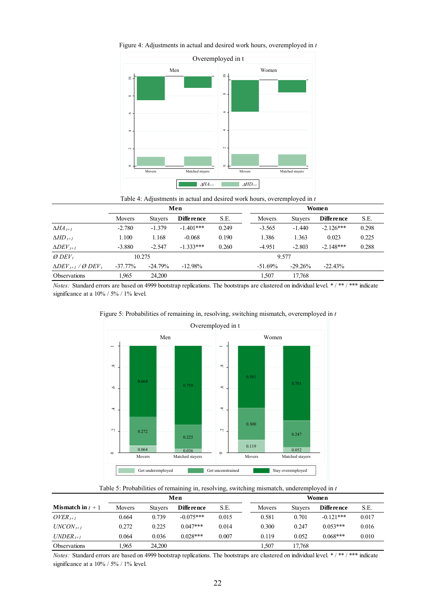

<span id="page-23-1"></span>Figure 4: Adjustments in actual and desired work hours, overemployed in *t*



<span id="page-23-0"></span>

|                                                  |            |                | Men               |       | Women     |                |                   |       |
|--------------------------------------------------|------------|----------------|-------------------|-------|-----------|----------------|-------------------|-------|
|                                                  | Movers     | <b>Stavers</b> | <b>Difference</b> | S.E.  | Movers    | <b>Stavers</b> | <b>Difference</b> | S.E.  |
| $\Delta H\!A_{t+1}$                              | $-2.780$   | $-1.379$       | $-1.401***$       | 0.249 | $-3.565$  | $-1.440$       | $-2.126***$       | 0.298 |
| $\Delta HD$ <sub>t+1</sub>                       | 1.100      | 1.168          | $-0.068$          | 0.190 | 1.386     | 1.363          | 0.023             | 0.225 |
| $\Delta DEF_{t+1}$                               | $-3.880$   | $-2.547$       | $-1.333***$       | 0.260 | $-4.951$  | $-2.803$       | $-2.148***$       | 0.288 |
| $Ø$ DEV,                                         |            | 10.275         |                   |       |           | 9.577          |                   |       |
| $\Delta$ DEV <sub>t+1</sub> / Ø DEV <sub>t</sub> | $-37.77\%$ | $-24.79%$      | $-12.98\%$        |       | $-51.69%$ | $-29.26%$      | $-22.43%$         |       |
| <b>Observations</b>                              | 1.965      | 24.200         |                   |       | 1.507     | 17.768         |                   |       |



<span id="page-23-2"></span>Figure 5: Probabilities of remaining in, resolving, switching mismatch, overemployed in *t*

Table 5: Probabilities of remaining in, resolving, switching mismatch, underemployed in *t*

|                            |        |                | Men               |       | Women |        |                |                   |       |
|----------------------------|--------|----------------|-------------------|-------|-------|--------|----------------|-------------------|-------|
| <b>Mismatch in</b> $t + 1$ | Movers | <b>Stavers</b> | <b>Difference</b> | S.E.  |       | Movers | <b>Stavers</b> | <b>Difference</b> | S.E.  |
| $OVER_{t+1}$               | 0.664  | 0.739          | $-0.075***$       | 0.015 |       | 0.581  | 0.701          | $-0.121***$       | 0.017 |
| $UNCON_{t+1}$              | 0.272  | 0.225          | $0.047***$        | 0.014 |       | 0.300  | 0.247          | $0.053***$        | 0.016 |
| $UNDER_{t+1}$              | 0.064  | 0.036          | $0.028***$        | 0.007 |       | 0.119  | 0.052          | $0.068***$        | 0.010 |
| <b>Observations</b>        | 1.965  | 24.200         |                   |       |       | 1,507  | 17.768         |                   |       |

*Notes:* Standard errors are based on 4999 bootstrap replications. The bootstraps are clustered on individual level. \*/\*\*/\*\*\*\* indicate significance at a 10% / 5% / 1% level.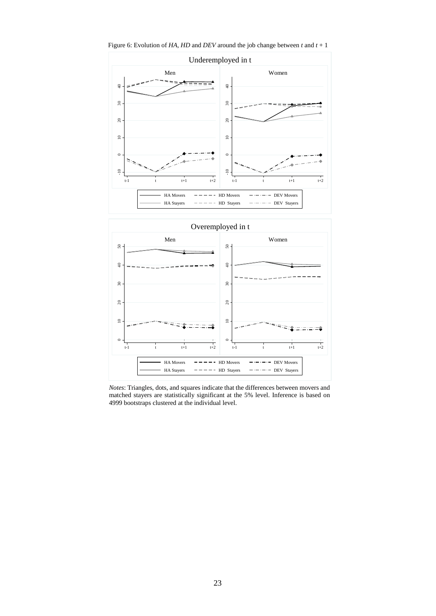Underemployed in t Men Women  $\oplus$  $\oplus$ -10 0 10 20 30 40 -10 0 10 20 30 40  $30$  $30\,$  $20\,$  $20\,$  $\ensuremath{\mathop{\boxtimes}\limits^{\mathop{\mathop{\mathrm{max}}\nolimits}}}$  $\ensuremath{\mathop{\boxdot}\nolimits}$  $\circ$  $\epsilon$  $\frac{1}{10}$  $-10$ t-1 t t t+1 t+2 t-1 t t t+1 t+2 HA Movers  $---$  HD Movers  $---$  DEV Movers  $HA$  Stayers  $--- -$  HD Stayers  $--- -$  DEV Stayers

<span id="page-24-1"></span>Figure 6: Evolution of *HA*, *HD* and *DEV* around the job change between *t* and *t* + 1



<span id="page-24-0"></span>*Notes*: Triangles, dots, and squares indicate that the differences between movers and matched stayers are statistically significant at the 5% level. Inference is based on 4999 bootstraps clustered at the individual level.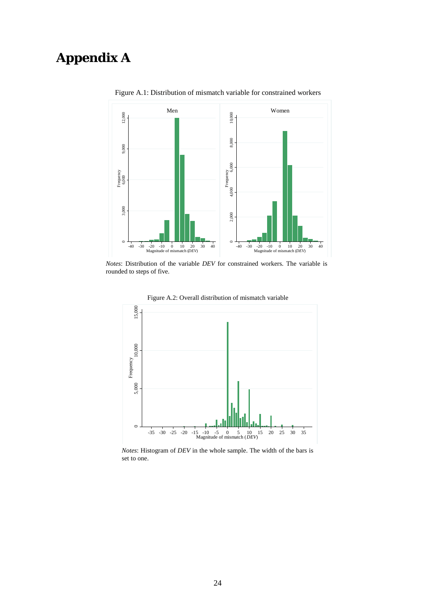## <span id="page-25-0"></span>**Appendix A**



Figure A.1: Distribution of mismatch variable for constrained workers

*Notes*: Distribution of the variable *DEV* for constrained workers. The variable is rounded to steps of five.



Figure A.2: Overall distribution of mismatch variable

*Notes*: Histogram of *DEV* in the whole sample. The width of the bars is set to one.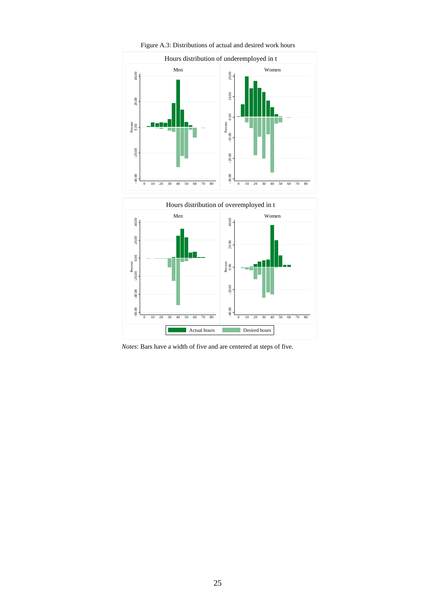<span id="page-26-0"></span>

Figure A.3: Distributions of actual and desired work hours

*Notes*: Bars have a width of five and are centered at steps of five.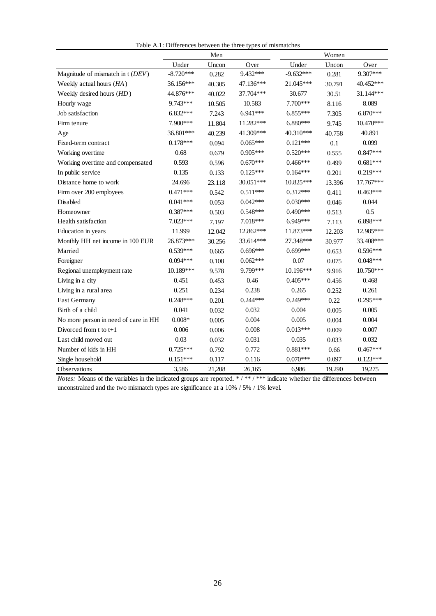|                                      |             | Men    |            |             | Women  |            |
|--------------------------------------|-------------|--------|------------|-------------|--------|------------|
|                                      | Under       | Uncon  | Over       | Under       | Uncon  | Over       |
| Magnitude of mismatch in t (DEV)     | $-8.720***$ | 0.282  | 9.432***   | $-9.632***$ | 0.281  | 9.307***   |
| Weekly actual hours (HA)             | 36.156***   | 40.305 | 47.136***  | 21.045***   | 30.791 | 40.452***  |
| Weekly desired hours (HD)            | 44.876***   | 40.022 | 37.704***  | 30.677      | 30.51  | 31.144***  |
| Hourly wage                          | 9.743***    | 10.505 | 10.583     | 7.700***    | 8.116  | 8.089      |
| Job satisfaction                     | $6.832***$  | 7.243  | 6.941***   | $6.855***$  | 7.305  | $6.870***$ |
| Firm tenure                          | 7.900***    | 11.804 | 11.282***  | 6.880***    | 9.745  | 10.470***  |
| Age                                  | 36.801***   | 40.239 | 41.309***  | 40.310***   | 40.758 | 40.891     |
| Fixed-term contract                  | $0.178***$  | 0.094  | $0.065***$ | $0.121***$  | 0.1    | 0.099      |
| Working overtime                     | 0.68        | 0.679  | $0.905***$ | $0.520***$  | 0.555  | $0.847***$ |
| Working overtime and compensated     | 0.593       | 0.596  | $0.670***$ | $0.466***$  | 0.499  | $0.681***$ |
| In public service                    | 0.135       | 0.133  | $0.125***$ | $0.164***$  | 0.201  | $0.219***$ |
| Distance home to work                | 24.696      | 23.118 | 30.051***  | 10.825***   | 13.396 | 17.767***  |
| Firm over 200 employees              | $0.471***$  | 0.542  | $0.511***$ | $0.312***$  | 0.411  | $0.463***$ |
| Disabled                             | $0.041***$  | 0.053  | $0.042***$ | $0.030***$  | 0.046  | 0.044      |
| Homeowner                            | $0.387***$  | 0.503  | $0.548***$ | $0.490***$  | 0.513  | 0.5        |
| Health satisfaction                  | 7.023***    | 7.197  | 7.018***   | $6.949***$  | 7.113  | 6.898***   |
| Education in years                   | 11.999      | 12.042 | 12.862***  | 11.873***   | 12.203 | 12.985***  |
| Monthly HH net income in 100 EUR     | 26.873***   | 30.256 | 33.614***  | 27.348***   | 30.977 | 33.408***  |
| Married                              | $0.539***$  | 0.665  | $0.696***$ | $0.699***$  | 0.653  | $0.596***$ |
| Foreigner                            | $0.094***$  | 0.108  | $0.062***$ | 0.07        | 0.075  | $0.048***$ |
| Regional unemployment rate           | 10.189***   | 9.578  | 9.799***   | 10.196***   | 9.916  | 10.750***  |
| Living in a city                     | 0.451       | 0.453  | 0.46       | $0.405***$  | 0.456  | 0.468      |
| Living in a rural area               | 0.251       | 0.234  | 0.238      | 0.265       | 0.252  | 0.261      |
| East Germany                         | $0.248***$  | 0.201  | $0.244***$ | $0.249***$  | 0.22   | $0.295***$ |
| Birth of a child                     | 0.041       | 0.032  | 0.032      | 0.004       | 0.005  | 0.005      |
| No more person in need of care in HH | $0.008*$    | 0.005  | 0.004      | 0.005       | 0.004  | 0.004      |
| Divorced from $t$ to $t+1$           | 0.006       | 0.006  | 0.008      | $0.013***$  | 0.009  | 0.007      |
| Last child moved out                 | 0.03        | 0.032  | 0.031      | 0.035       | 0.033  | 0.032      |
| Number of kids in HH                 | $0.725***$  | 0.792  | 0.772      | $0.881***$  | 0.66   | $0.467***$ |
| Single household                     | $0.151***$  | 0.117  | 0.116      | $0.070***$  | 0.097  | $0.123***$ |
| Observations                         | 3,586       | 21,208 | 26,165     | 6,986       | 19,290 | 19,275     |

Table A.1: Differences between the three types of mismatches

*Notes:* Means of the variables in the indicated groups are reported. \*/\*\*/\*\*\*\* indicate whether the differences between unconstrained and the two mismatch types are significance at a 10% / 5% / 1% level.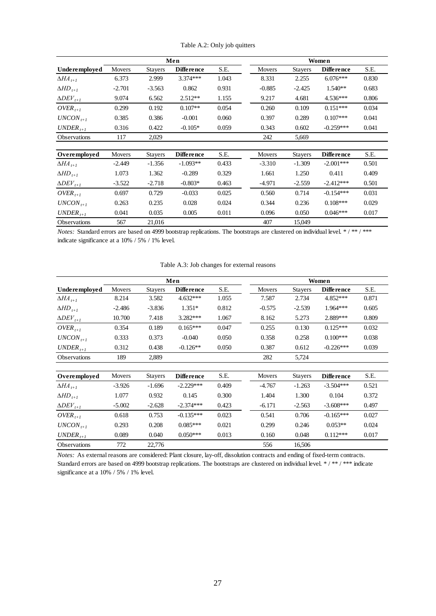|                             |          |                | Men               |       |          |                | Women             |       |
|-----------------------------|----------|----------------|-------------------|-------|----------|----------------|-------------------|-------|
| Underemployed               | Movers   | <b>Stayers</b> | <b>Difference</b> | S.E.  | Movers   | <b>Stayers</b> | <b>Difference</b> | S.E.  |
| $\Delta H\!A_{t+1}$         | 6.373    | 2.999          | $3.374***$        | 1.043 | 8.331    | 2.255          | $6.076***$        | 0.830 |
| $\Delta HD_{t+1}$           | $-2.701$ | $-3.563$       | 0.862             | 0.931 | $-0.885$ | $-2.425$       | $1.540**$         | 0.683 |
| $\Delta$ DEV <sub>t+1</sub> | 9.074    | 6.562          | $2.512**$         | 1.155 | 9.217    | 4.681          | $4.536***$        | 0.806 |
| $OVER_{t+1}$                | 0.299    | 0.192          | $0.107**$         | 0.054 | 0.260    | 0.109          | $0.151***$        | 0.034 |
| $UNCON_{t+1}$               | 0.385    | 0.386          | $-0.001$          | 0.060 | 0.397    | 0.289          | $0.107***$        | 0.041 |
| $UNDER_{t+1}$               | 0.316    | 0.422          | $-0.105*$         | 0.059 | 0.343    | 0.602          | $-0.259***$       | 0.041 |
| Observations                | 117      | 2,029          |                   |       | 242      | 5,669          |                   |       |
|                             |          |                |                   |       |          |                |                   |       |
| Overemployed                | Movers   | <b>Stayers</b> | <b>Difference</b> | S.E.  | Movers   | <b>Stayers</b> | <b>Difference</b> | S.E.  |
| $\Delta H\!A_{t+1}$         | $-2.449$ | $-1.356$       | $-1.093**$        | 0.433 | $-3.310$ | $-1.309$       | $-2.001***$       | 0.501 |
| $\Delta HD_{t+1}$           | 1.073    | 1.362          | $-0.289$          | 0.329 | 1.661    | 1.250          | 0.411             | 0.409 |
| $\Delta DEF_{t+1}$          | $-3.522$ | $-2.718$       | $-0.803*$         | 0.463 | $-4.971$ | $-2.559$       | $-2.412***$       | 0.501 |
| $OVER_{t+1}$                | 0.697    | 0.729          | $-0.033$          | 0.025 | 0.560    | 0.714          | $-0.154***$       | 0.031 |
| $UNCON_{t+1}$               | 0.263    | 0.235          | 0.028             | 0.024 | 0.344    | 0.236          | $0.108***$        | 0.029 |
| $UNDER_{t+1}$               | 0.041    | 0.035          | 0.005             | 0.011 | 0.096    | 0.050          | $0.046***$        | 0.017 |
| <b>Observations</b>         | 567      | 21,016         |                   |       | 407      | 15,049         |                   |       |

Table A.2: Only job quitters

<span id="page-28-0"></span>

|                             |          |                | Men               | Women |               |                |                   |       |  |
|-----------------------------|----------|----------------|-------------------|-------|---------------|----------------|-------------------|-------|--|
| Underemployed               | Movers   | <b>Stayers</b> | <b>Difference</b> | S.E.  | <b>Movers</b> | <b>Stayers</b> | <b>Difference</b> | S.E.  |  |
| $\Delta H\!A_{t+1}$         | 8.214    | 3.582          | $4.632***$        | 1.055 | 7.587         | 2.734          | 4.852***          | 0.871 |  |
| $\Delta HD_{t+1}$           | $-2.486$ | $-3.836$       | $1.351*$          | 0.812 | $-0.575$      | $-2.539$       | $1.964***$        | 0.605 |  |
| $\Delta$ DEV <sub>t+1</sub> | 10.700   | 7.418          | $3.282***$        | 1.067 | 8.162         | 5.273          | 2.889***          | 0.809 |  |
| $OVER_{t+1}$                | 0.354    | 0.189          | $0.165***$        | 0.047 | 0.255         | 0.130          | $0.125***$        | 0.032 |  |
| $UNCON_{t+1}$               | 0.333    | 0.373          | $-0.040$          | 0.050 | 0.358         | 0.258          | $0.100***$        | 0.038 |  |
| $UNDER_{t+1}$               | 0.312    | 0.438          | $-0.126**$        | 0.050 | 0.387         | 0.612          | $-0.226***$       | 0.039 |  |
| Observations                | 189      | 2,889          |                   |       | 282           | 5,724          |                   |       |  |
| Overemployed                | Movers   | <b>Stayers</b> | <b>Difference</b> | S.E.  | Movers        | <b>Stayers</b> | <b>Difference</b> | S.E.  |  |
| $\Delta H\!A_{t+1}$         | $-3.926$ | $-1.696$       | $-2.229***$       | 0.409 | $-4.767$      | $-1.263$       | $-3.504***$       | 0.521 |  |
| $\Delta HD_{t+1}$           | 1.077    | 0.932          | 0.145             | 0.300 | 1.404         | 1.300          | 0.104             | 0.372 |  |
| $\Delta$ DEV <sub>t+1</sub> | $-5.002$ | $-2.628$       | $-2.374***$       | 0.423 | $-6.171$      | $-2.563$       | $-3.608***$       | 0.497 |  |
| $OVER_{t+1}$                | 0.618    | 0.753          | $-0.135***$       | 0.023 | 0.541         | 0.706          | $-0.165***$       | 0.027 |  |
| $UNCON_{t+1}$               | 0.293    | 0.208          | $0.085***$        | 0.021 | 0.299         | 0.246          | $0.053**$         | 0.024 |  |
| $UNDER_{t+1}$               | 0.089    | 0.040          | $0.050***$        | 0.013 | 0.160         | 0.048          | $0.112***$        | 0.017 |  |
| <b>Observations</b>         | 772      | 22,776         |                   |       | 556           | 16,506         |                   |       |  |

Table A.3: Job changes for external reasons

*Notes:* As external reasons are considered: Plant closure, lay-off, dissolution contracts and ending of fixed-term contracts. Standard errors are based on 4999 bootstrap replications. The bootstraps are clustered on individual level. \*/\*\*/\*\*\* indicate significance at a 10% / 5% / 1% level.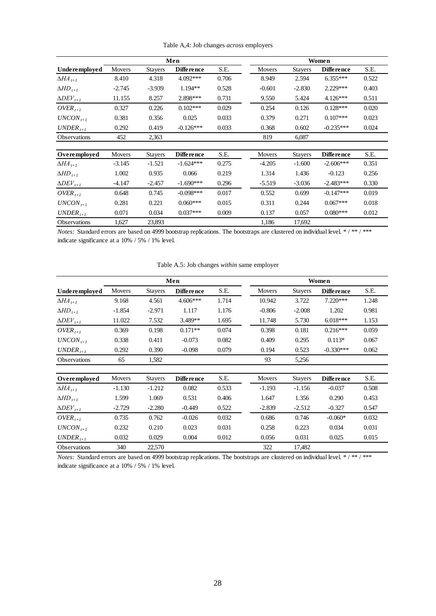| Table A,4: Job changes across employers |  |  |  |
|-----------------------------------------|--|--|--|
|-----------------------------------------|--|--|--|

<span id="page-29-0"></span>

|                             |               |                | Men               |       |               |                | Women             |       |
|-----------------------------|---------------|----------------|-------------------|-------|---------------|----------------|-------------------|-------|
| <b>Underemployed</b>        | <b>Movers</b> | <b>Stayers</b> | <b>Difference</b> | S.E.  | <b>Movers</b> | <b>Stayers</b> | <b>Difference</b> | S.E.  |
| $\Delta H\!A_{t+1}$         | 8.410         | 4.318          | 4.092***          | 0.706 | 8.949         | 2.594          | $6.355***$        | 0.522 |
| $\Delta HD_{t+1}$           | $-2.745$      | $-3.939$       | $1.194**$         | 0.528 | $-0.601$      | $-2.830$       | 2.229***          | 0.403 |
| $\Delta$ DEV <sub>t+1</sub> | 11.155        | 8.257          | 2.898***          | 0.731 | 9.550         | 5.424          | $4.126***$        | 0.511 |
| $OVER_{t+1}$                | 0.327         | 0.226          | $0.102***$        | 0.029 | 0.254         | 0.126          | $0.128***$        | 0.020 |
| $UNCON_{t+1}$               | 0.381         | 0.356          | 0.025             | 0.033 | 0.379         | 0.271          | $0.107***$        | 0.023 |
| $UNDER_{t+1}$               | 0.292         | 0.419          | $-0.126***$       | 0.033 | 0.368         | 0.602          | $-0.235***$       | 0.024 |
| <b>Observations</b>         | 452           | 2,363          |                   |       | 819           | 6,087          |                   |       |
|                             |               |                |                   |       |               |                |                   |       |
| Overemployed                | Movers        | <b>Stayers</b> | <b>Difference</b> | S.E.  | <b>Movers</b> | <b>Stayers</b> | <b>Difference</b> | S.E.  |
| $\Delta H\!A_{t+1}$         | $-3.145$      | $-1.521$       | $-1.624***$       | 0.275 | $-4.205$      | $-1.600$       | $-2.606***$       | 0.351 |
| $\Delta HD_{t+1}$           | 1.002         | 0.935          | 0.066             | 0.219 | 1.314         | 1.436          | $-0.123$          | 0.256 |
| $\Delta$ DEV <sub>t+1</sub> | $-4.147$      | $-2.457$       | $-1.690***$       | 0.296 | $-5.519$      | $-3.036$       | $-2.483***$       | 0.330 |
| $OVER_{t+1}$                | 0.648         | 0.745          | $-0.098***$       | 0.017 | 0.552         | 0.699          | $-0.147***$       | 0.019 |
| $UNCON_{t+1}$               | 0.281         | 0.221          | $0.060***$        | 0.015 | 0.311         | 0.244          | $0.067***$        | 0.018 |
| $UNDER_{t+1}$               | 0.071         | 0.034          | $0.037***$        | 0.009 | 0.137         | 0.057          | $0.080***$        | 0.012 |
| <b>Observations</b>         | 1,627         | 23,893         |                   |       | 1,186         | 17,692         |                   |       |

<span id="page-29-1"></span>

|                             |          |                | Men               |       | Women |               |                |                   |       |  |
|-----------------------------|----------|----------------|-------------------|-------|-------|---------------|----------------|-------------------|-------|--|
| Underemployed               | Movers   | <b>Stayers</b> | <b>Difference</b> | S.E.  |       | <b>Movers</b> | <b>Stayers</b> | <b>Difference</b> | S.E.  |  |
| $\Delta H\!A_{t+1}$         | 9.168    | 4.561          | $4.606***$        | 1.714 |       | 10.942        | 3.722          | $7.220***$        | 1.248 |  |
| $\Delta HD_{t+1}$           | $-1.854$ | $-2.971$       | 1.117             | 1.176 |       | $-0.806$      | $-2.008$       | 1.202             | 0.981 |  |
| $\Delta$ DEV <sub>t+1</sub> | 11.022   | 7.532          | $3.489**$         | 1.695 |       | 11.748        | 5.730          | $6.018***$        | 1.153 |  |
| $OVER_{t+1}$                | 0.369    | 0.198          | $0.171**$         | 0.074 |       | 0.398         | 0.181          | $0.216***$        | 0.059 |  |
| $UNCON_{t+1}$               | 0.338    | 0.411          | $-0.073$          | 0.082 |       | 0.409         | 0.295          | $0.113*$          | 0.067 |  |
| $UNDER_{t+1}$               | 0.292    | 0.390          | $-0.098$          | 0.079 |       | 0.194         | 0.523          | $-0.330***$       | 0.062 |  |
| <b>Observations</b>         | 65       | 1,582          |                   |       |       | 93            | 5,256          |                   |       |  |
|                             |          |                |                   |       |       |               |                |                   |       |  |
| Overemployed                | Movers   | <b>Stayers</b> | <b>Difference</b> | S.E.  |       | Movers        | <b>Stayers</b> | <b>Difference</b> | S.E.  |  |
| $\Delta H\!A_{t+1}$         | $-1.130$ | $-1.212$       | 0.082             | 0.533 |       | $-1.193$      | $-1.156$       | $-0.037$          | 0.508 |  |
| $\Delta HD_{t+1}$           | 1.599    | 1.069          | 0.531             | 0.406 |       | 1.647         | 1.356          | 0.290             | 0.453 |  |
| $\Delta$ DEV <sub>t+1</sub> | $-2.729$ | $-2.280$       | $-0.449$          | 0.522 |       | $-2.839$      | $-2.512$       | $-0.327$          | 0.547 |  |
| $OVER_{t+1}$                | 0.735    | 0.762          | $-0.026$          | 0.032 |       | 0.686         | 0.746          | $-0.060*$         | 0.032 |  |
| $UNCON_{t+1}$               | 0.232    | 0.210          | 0.023             | 0.031 |       | 0.258         | 0.223          | 0.034             | 0.031 |  |

Table A.5: Job changes *within* same employer

*Notes:* Standard errors are based on 4999 bootstrap replications. The bootstraps are clustered on individual level. \*/\*\*/\*\*\* indicate significance at a 10% / 5% / 1% level.

Observations 340 22,570 322 17,482

 $UNDER_{t+1}$  0.032 0.029 0.004 0.012 0.056 0.031 0.025 0.015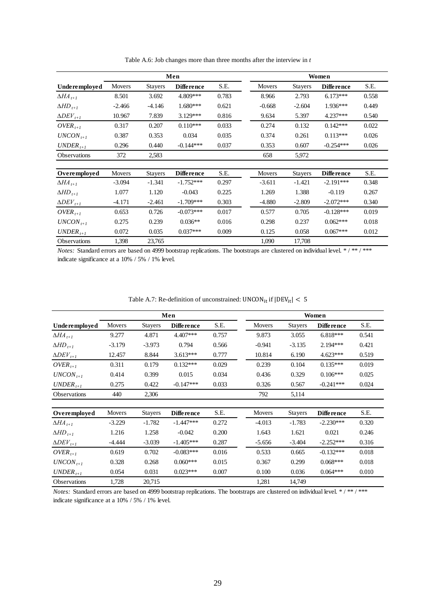<span id="page-30-0"></span>

|                                    |          |                | Men               |       |               |                | Women             |       |
|------------------------------------|----------|----------------|-------------------|-------|---------------|----------------|-------------------|-------|
| Underemployed                      | Movers   | <b>Stayers</b> | <b>Difference</b> | S.E.  | <b>Movers</b> | <b>Stayers</b> | <b>Difference</b> | S.E.  |
| $\Delta H\!A_{t+1}$                | 8.501    | 3.692          | 4.809***          | 0.783 | 8.966         | 2.793          | $6.173***$        | 0.558 |
| $\Delta HD_{t+1}$                  | $-2.466$ | $-4.146$       | $1.680***$        | 0.621 | $-0.668$      | $-2.604$       | $1.936***$        | 0.449 |
| $\Delta$ DEV <sub>t+1</sub>        | 10.967   | 7.839          | $3.129***$        | 0.816 | 9.634         | 5.397          | 4.237***          | 0.540 |
| $OVER_{t+1}$                       | 0.317    | 0.207          | $0.110***$        | 0.033 | 0.274         | 0.132          | $0.142***$        | 0.022 |
| $UNCON_{t+1}$                      | 0.387    | 0.353          | 0.034             | 0.035 | 0.374         | 0.261          | $0.113***$        | 0.026 |
| $UNDER_{t+1}$                      | 0.296    | 0.440          | $-0.144***$       | 0.037 | 0.353         | 0.607          | $-0.254***$       | 0.026 |
| <b>Observations</b>                | 372      | 2,583          |                   |       | 658           | 5,972          |                   |       |
|                                    |          |                |                   |       |               |                |                   |       |
| Overemployed                       | Movers   | <b>Stayers</b> | <b>Difference</b> | S.E.  | Movers        | <b>Stayers</b> | <b>Difference</b> | S.E.  |
| $\Delta H\!A_{t+1}$                | $-3.094$ | $-1.341$       | $-1.752***$       | 0.297 | $-3.611$      | $-1.421$       | $-2.191***$       | 0.348 |
| $\Delta HD_{t+1}$                  | 1.077    | 1.120          | $-0.043$          | 0.225 | 1.269         | 1.388          | $-0.119$          | 0.267 |
| $\Delta$ <i>DEV</i> <sub>t+1</sub> | $-4.171$ | $-2.461$       | $-1.709***$       | 0.303 | $-4.880$      | $-2.809$       | $-2.072***$       | 0.340 |
| $OVER_{t+1}$                       | 0.653    | 0.726          | $-0.073***$       | 0.017 | 0.577         | 0.705          | $-0.128***$       | 0.019 |
| $UNCON_{t+1}$                      | 0.275    | 0.239          | $0.036**$         | 0.016 | 0.298         | 0.237          | $0.062***$        | 0.018 |
| $UNDER_{t+1}$                      | 0.072    | 0.035          | $0.037***$        | 0.009 | 0.125         | 0.058          | $0.067***$        | 0.012 |
| Observations                       | 1,398    | 23,765         |                   |       | 1,090         | 17,708         |                   |       |

Table A.6: Job changes more than three months after the interview in *t*

| Table A.7: Re-definition of unconstrained: UNCON <sub>it</sub> if $ DEV_{it}  < 5$ |  |
|------------------------------------------------------------------------------------|--|
|------------------------------------------------------------------------------------|--|

<span id="page-30-1"></span>

|                             |          |                | Men               |       |          |                | Women             |       |
|-----------------------------|----------|----------------|-------------------|-------|----------|----------------|-------------------|-------|
| Underemployed               | Movers   | <b>Stayers</b> | <b>Difference</b> | S.E.  | Movers   | <b>Stayers</b> | <b>Difference</b> | S.E.  |
| $\Delta H\!A_{t+1}$         | 9.277    | 4.871          | 4.407***          | 0.757 | 9.873    | 3.055          | $6.818***$        | 0.541 |
| $\Delta HD_{t+1}$           | $-3.179$ | $-3.973$       | 0.794             | 0.566 | $-0.941$ | $-3.135$       | $2.194***$        | 0.421 |
| $\Delta$ DEV <sub>t+1</sub> | 12.457   | 8.844          | $3.613***$        | 0.777 | 10.814   | 6.190          | $4.623***$        | 0.519 |
| $OVER_{t+1}$                | 0.311    | 0.179          | $0.132***$        | 0.029 | 0.239    | 0.104          | $0.135***$        | 0.019 |
| $UNCON_{t+1}$               | 0.414    | 0.399          | 0.015             | 0.034 | 0.436    | 0.329          | $0.106***$        | 0.025 |
| $UNDER_{t+1}$               | 0.275    | 0.422          | $-0.147***$       | 0.033 | 0.326    | 0.567          | $-0.241***$       | 0.024 |
| <b>Observations</b>         | 440      | 2,306          |                   |       | 792      | 5,114          |                   |       |
|                             |          |                |                   |       |          |                |                   |       |
| Overemployed                | Movers   | <b>Stayers</b> | <b>Difference</b> | S.E.  | Movers   | <b>Stayers</b> | Difference        | S.E.  |
| $\Delta H\!A_{t+1}$         | $-3.229$ | $-1.782$       | $-1.447***$       | 0.272 | $-4.013$ | $-1.783$       | $-2.230***$       | 0.320 |
| $\Delta HD_{t+1}$           | 1.216    | 1.258          | $-0.042$          | 0.200 | 1.643    | 1.621          | 0.021             | 0.246 |
| $\Delta DEF_{t+1}$          | $-4.444$ | $-3.039$       | $-1.405***$       | 0.287 | $-5.656$ | $-3.404$       | $-2.252***$       | 0.316 |
| $OVER_{t+1}$                | 0.619    | 0.702          | $-0.083***$       | 0.016 | 0.533    | 0.665          | $-0.132***$       | 0.018 |
| $UNCON_{t+1}$               | 0.328    | 0.268          | $0.060***$        | 0.015 | 0.367    | 0.299          | $0.068***$        | 0.018 |
| $UNDER_{t+1}$               | 0.054    | 0.031          | $0.023***$        | 0.007 | 0.100    | 0.036          | $0.064***$        | 0.010 |
| Observations                | 1,728    | 20,715         |                   |       | 1,281    | 14,749         |                   |       |

*Notes:* Standard errors are based on 4999 bootstrap replications. The bootstraps are clustered on individual level. \*/\*\*/\*\*\* indicate significance at a 10% / 5% / 1% level.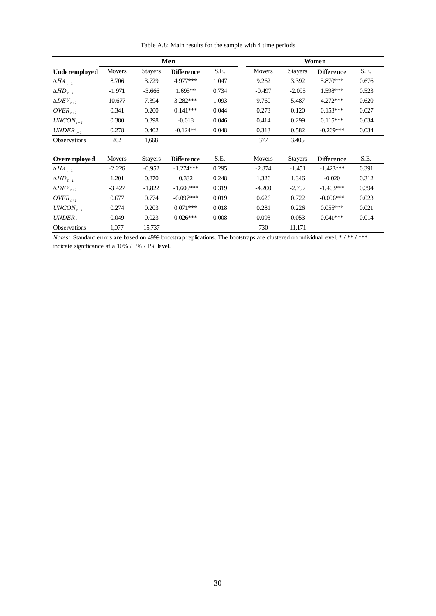<span id="page-31-0"></span>

|                             |          |                | Men               |       | Women    |                |                   |       |  |
|-----------------------------|----------|----------------|-------------------|-------|----------|----------------|-------------------|-------|--|
| Underemployed               | Movers   | <b>Stayers</b> | <b>Difference</b> | S.E.  | Movers   | <b>Stayers</b> | <b>Difference</b> | S.E.  |  |
| $\Delta H\!A_{t+1}$         | 8.706    | 3.729          | 4.977***          | 1.047 | 9.262    | 3.392          | 5.870***          | 0.676 |  |
| $\Delta HD_{t+1}$           | $-1.971$ | $-3.666$       | $1.695**$         | 0.734 | $-0.497$ | $-2.095$       | 1.598***          | 0.523 |  |
| $\Delta$ DEV <sub>t+1</sub> | 10.677   | 7.394          | $3.282***$        | 1.093 | 9.760    | 5.487          | $4.272***$        | 0.620 |  |
| $OVER_{t+1}$                | 0.341    | 0.200          | $0.141***$        | 0.044 | 0.273    | 0.120          | $0.153***$        | 0.027 |  |
| $UNCON_{t+1}$               | 0.380    | 0.398          | $-0.018$          | 0.046 | 0.414    | 0.299          | $0.115***$        | 0.034 |  |
| $UNDER_{t+1}$               | 0.278    | 0.402          | $-0.124**$        | 0.048 | 0.313    | 0.582          | $-0.269***$       | 0.034 |  |
| <b>Observations</b>         | 202      | 1,668          |                   |       | 377      | 3,405          |                   |       |  |
|                             |          |                |                   |       |          |                |                   |       |  |
| Overemployed                | Movers   | <b>Stayers</b> | <b>Difference</b> | S.E.  | Movers   | <b>Stayers</b> | Diffe rence       | S.E.  |  |
| $\Delta H\!A_{t+1}$         | $-2.226$ | $-0.952$       | $-1.274***$       | 0.295 | $-2.874$ | $-1.451$       | $-1.423***$       | 0.391 |  |
| $\Delta HD_{t+1}$           | 1.201    | 0.870          | 0.332             | 0.248 | 1.326    | 1.346          | $-0.020$          | 0.312 |  |
| $\Delta$ DEV <sub>t+1</sub> | $-3.427$ | $-1.822$       | $-1.606***$       | 0.319 | $-4.200$ | $-2.797$       | $-1.403***$       | 0.394 |  |
| $OVER_{t+1}$                | 0.677    | 0.774          | $-0.097***$       | 0.019 | 0.626    | 0.722          | $-0.096***$       | 0.023 |  |
| $UNCON_{t+1}$               | 0.274    | 0.203          | $0.071***$        | 0.018 | 0.281    | 0.226          | $0.055***$        | 0.021 |  |
| $UNDER_{t+1}$               | 0.049    | 0.023          | $0.026***$        | 0.008 | 0.093    | 0.053          | $0.041***$        | 0.014 |  |
| Observations                | 1,077    | 15,737         |                   |       | 730      | 11,171         |                   |       |  |

Table A.8: Main results for the sample with 4 time periods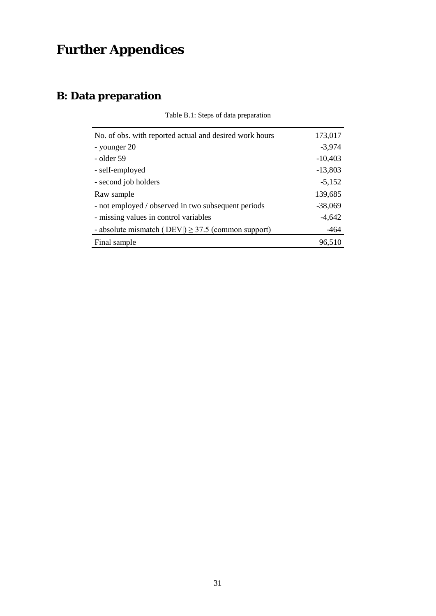# **Further Appendices**

## **B: Data preparation**

| No. of obs. with reported actual and desired work hours          | 173,017   |
|------------------------------------------------------------------|-----------|
| - younger 20                                                     | $-3,974$  |
| - older 59                                                       | $-10,403$ |
| - self-employed                                                  | $-13,803$ |
| - second job holders                                             | $-5,152$  |
| Raw sample                                                       | 139,685   |
| - not employed / observed in two subsequent periods              | $-38,069$ |
| - missing values in control variables                            | $-4,642$  |
| - absolute mismatch ( $ $ DEV $ $ ) $\geq$ 37.5 (common support) | $-464$    |
| Final sample                                                     | 96,510    |

Table B.1: Steps of data preparation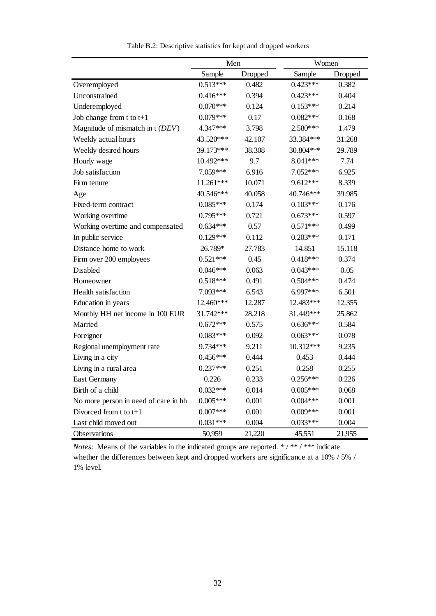|                                      | Men        |         | Women      |         |
|--------------------------------------|------------|---------|------------|---------|
|                                      | Sample     | Dropped | Sample     | Dropped |
| Overemployed                         | $0.513***$ | 0.482   | $0.423***$ | 0.382   |
| Unconstrained                        | $0.416***$ | 0.394   | $0.423***$ | 0.404   |
| Underemployed                        | $0.070***$ | 0.124   | $0.153***$ | 0.214   |
| Job change from $t$ to $t+1$         | $0.079***$ | 0.17    | $0.082***$ | 0.168   |
| Magnitude of mismatch in t (DEV)     | 4.347***   | 3.798   | 2.580***   | 1.479   |
| Weekly actual hours                  | 43.520***  | 42.107  | 33.384***  | 31.268  |
| Weekly desired hours                 | 39.173***  | 38.308  | 30.804***  | 29.789  |
| Hourly wage                          | 10.492***  | 9.7     | 8.041***   | 7.74    |
| Job satisfaction                     | 7.059***   | 6.916   | 7.052***   | 6.925   |
| Firm tenure                          | 11.261***  | 10.071  | 9.612***   | 8.339   |
| Age                                  | 40.546***  | 40.058  | 40.746***  | 39.985  |
| Fixed-term contract                  | $0.085***$ | 0.174   | $0.103***$ | 0.176   |
| Working overtime                     | $0.795***$ | 0.721   | $0.673***$ | 0.597   |
| Working overtime and compensated     | $0.634***$ | 0.57    | $0.571***$ | 0.499   |
| In public service                    | $0.129***$ | 0.112   | $0.203***$ | 0.171   |
| Distance home to work                | 26.789*    | 27.783  | 14.851     | 15.118  |
| Firm over 200 employees              | $0.521***$ | 0.45    | $0.418***$ | 0.374   |
| Disabled                             | $0.046***$ | 0.063   | $0.043***$ | 0.05    |
| Homeowner                            | $0.518***$ | 0.491   | $0.504***$ | 0.474   |
| Health satisfaction                  | 7.093***   | 6.543   | 6.997***   | 6.501   |
| Education in years                   | 12.460***  | 12.287  | 12.483***  | 12.355  |
| Monthly HH net income in 100 EUR     | 31.742***  | 28.218  | 31.449***  | 25.862  |
| Married                              | $0.672***$ | 0.575   | $0.636***$ | 0.584   |
| Foreigner                            | $0.083***$ | 0.092   | $0.063***$ | 0.078   |
| Regional unemployment rate           | 9.734***   | 9.211   | 10.312***  | 9.235   |
| Living in a city                     | $0.456***$ | 0.444   | 0.453      | 0.444   |
| Living in a rural area               | $0.237***$ | 0.251   | 0.258      | 0.255   |
| <b>East Germany</b>                  | 0.226      | 0.233   | $0.256***$ | 0.226   |
| Birth of a child                     | $0.032***$ | 0.014   | $0.005***$ | 0.068   |
| No more person in need of care in hh | $0.005***$ | 0.001   | $0.004***$ | 0.001   |
| Divorced from t to t+1               | $0.007***$ | 0.001   | $0.009***$ | 0.001   |
| Last child moved out                 | $0.031***$ | 0.004   | $0.033***$ | 0.004   |
| Observations                         | 50,959     | 21,220  | 45,551     | 21,955  |

Table B.2: Descriptive statistics for kept and dropped workers

*Notes:* Means of the variables in the indicated groups are reported. \*/\*\*/\*\*\* indicate whether the differences between kept and dropped workers are significance at a 10% / 5% / 1% level.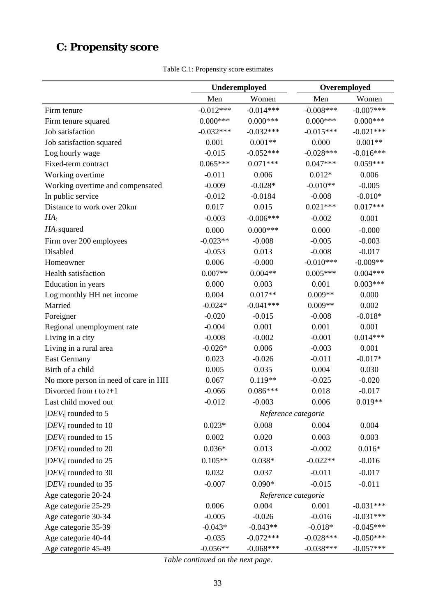## **C: Propensity score**

Table C.1: Propensity score estimates

|                                      | Underemployed |             |                     | Overemployed |
|--------------------------------------|---------------|-------------|---------------------|--------------|
|                                      | Men           | Women       | Men                 | Women        |
| Firm tenure                          | $-0.012***$   | $-0.014***$ | $-0.008***$         | $-0.007***$  |
| Firm tenure squared                  | $0.000***$    | $0.000***$  | $0.000***$          | $0.000***$   |
| Job satisfaction                     | $-0.032***$   | $-0.032***$ | $-0.015***$         | $-0.021***$  |
| Job satisfaction squared             | 0.001         | $0.001**$   | 0.000               | $0.001**$    |
| Log hourly wage                      | $-0.015$      | $-0.052***$ | $-0.028***$         | $-0.016***$  |
| Fixed-term contract                  | $0.065***$    | $0.071***$  | $0.047***$          | $0.059***$   |
| Working overtime                     | $-0.011$      | 0.006       | $0.012*$            | 0.006        |
| Working overtime and compensated     | $-0.009$      | $-0.028*$   | $-0.010**$          | $-0.005$     |
| In public service                    | $-0.012$      | $-0.0184$   | $-0.008$            | $-0.010*$    |
| Distance to work over 20km           | 0.017         | 0.015       | $0.021***$          | $0.017***$   |
| $HA_t$                               | $-0.003$      | $-0.006***$ | $-0.002$            | 0.001        |
| $HA_t$ squared                       | 0.000         | $0.000***$  | 0.000               | $-0.000$     |
| Firm over 200 employees              | $-0.023**$    | $-0.008$    | $-0.005$            | $-0.003$     |
| Disabled                             | $-0.053$      | 0.013       | $-0.008$            | $-0.017$     |
| Homeowner                            | 0.006         | $-0.000$    | $-0.010***$         | $-0.009**$   |
| <b>Health satisfaction</b>           | $0.007**$     | $0.004**$   | $0.005***$          | $0.004***$   |
| Education in years                   | 0.000         | 0.003       | 0.001               | $0.003***$   |
| Log monthly HH net income            | 0.004         | $0.017**$   | $0.009**$           | 0.000        |
| Married                              | $-0.024*$     | $-0.041***$ | $0.009**$           | 0.002        |
| Foreigner                            | $-0.020$      | $-0.015$    | $-0.008$            | $-0.018*$    |
| Regional unemployment rate           | $-0.004$      | 0.001       | 0.001               | 0.001        |
| Living in a city                     | $-0.008$      | $-0.002$    | $-0.001$            | $0.014***$   |
| Living in a rural area               | $-0.026*$     | 0.006       | $-0.003$            | 0.001        |
| <b>East Germany</b>                  | 0.023         | $-0.026$    | $-0.011$            | $-0.017*$    |
| Birth of a child                     | 0.005         | 0.035       | 0.004               | 0.030        |
| No more person in need of care in HH | 0.067         | $0.119**$   | $-0.025$            | $-0.020$     |
| Divorced from $t$ to $t+1$           | $-0.066$      | $0.086***$  | 0.018               | $-0.017$     |
| Last child moved out                 | $-0.012$      | $-0.003$    | 0.006               | $0.019**$    |
| $ DEV_t $ rounded to 5               |               |             | Reference categorie |              |
| $ DEV_t $ rounded to 10              | $0.023*$      | 0.008       | 0.004               | 0.004        |
| $ DEV_t $ rounded to 15              | 0.002         | 0.020       | 0.003               | 0.003        |
| $ DEV_t $ rounded to 20              | $0.036*$      | 0.013       | $-0.002$            | $0.016*$     |
| $ DEV_t $ rounded to 25              | $0.105**$     | $0.038*$    | $-0.022**$          | $-0.016$     |
| $ DEV_t $ rounded to 30              | 0.032         | 0.037       | $-0.011$            | $-0.017$     |
| $ DEV_t $ rounded to 35              | $-0.007$      | $0.090*$    | $-0.015$            | $-0.011$     |
| Age categorie 20-24                  |               |             | Reference categorie |              |
| Age categorie 25-29                  | 0.006         | 0.004       | 0.001               | $-0.031***$  |
| Age categorie 30-34                  | $-0.005$      | $-0.026$    | $-0.016$            | $-0.031***$  |
| Age categorie 35-39                  | $-0.043*$     | $-0.043**$  | $-0.018*$           | $-0.045***$  |
| Age categorie 40-44                  | $-0.035$      | $-0.072***$ | $-0.028***$         | $-0.050***$  |
| Age categorie 45-49                  | $-0.056**$    | $-0.068***$ | $-0.038***$         | $-0.057***$  |

*Table continued on the next page.*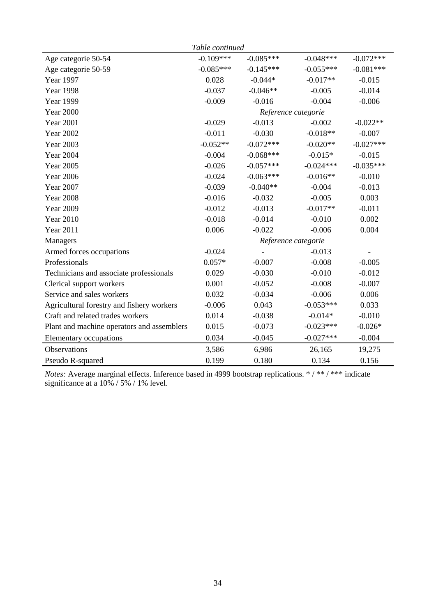| Table continued                            |             |             |                     |             |  |  |  |  |
|--------------------------------------------|-------------|-------------|---------------------|-------------|--|--|--|--|
| Age categorie 50-54                        | $-0.109***$ | $-0.085***$ | $-0.048***$         | $-0.072***$ |  |  |  |  |
| Age categorie 50-59                        | $-0.085***$ | $-0.145***$ | $-0.055***$         | $-0.081***$ |  |  |  |  |
| Year 1997                                  | 0.028       | $-0.044*$   | $-0.017**$          | $-0.015$    |  |  |  |  |
| <b>Year 1998</b>                           | $-0.037$    | $-0.046**$  | $-0.005$            | $-0.014$    |  |  |  |  |
| <b>Year 1999</b>                           | $-0.009$    | $-0.016$    | $-0.004$            | $-0.006$    |  |  |  |  |
| <b>Year 2000</b>                           |             |             | Reference categorie |             |  |  |  |  |
| <b>Year 2001</b>                           | $-0.029$    | $-0.013$    | $-0.002$            | $-0.022**$  |  |  |  |  |
| <b>Year 2002</b>                           | $-0.011$    | $-0.030$    | $-0.018**$          | $-0.007$    |  |  |  |  |
| <b>Year 2003</b>                           | $-0.052**$  | $-0.072***$ | $-0.020**$          | $-0.027***$ |  |  |  |  |
| <b>Year 2004</b>                           | $-0.004$    | $-0.068***$ | $-0.015*$           | $-0.015$    |  |  |  |  |
| <b>Year 2005</b>                           | $-0.026$    | $-0.057***$ | $-0.024***$         | $-0.035***$ |  |  |  |  |
| <b>Year 2006</b>                           | $-0.024$    | $-0.063***$ | $-0.016**$          | $-0.010$    |  |  |  |  |
| <b>Year 2007</b>                           | $-0.039$    | $-0.040**$  | $-0.004$            | $-0.013$    |  |  |  |  |
| <b>Year 2008</b>                           | $-0.016$    | $-0.032$    | $-0.005$            | 0.003       |  |  |  |  |
| <b>Year 2009</b>                           | $-0.012$    | $-0.013$    | $-0.017**$          | $-0.011$    |  |  |  |  |
| <b>Year 2010</b>                           | $-0.018$    | $-0.014$    | $-0.010$            | 0.002       |  |  |  |  |
| <b>Year 2011</b>                           | 0.006       | $-0.022$    | $-0.006$            | 0.004       |  |  |  |  |
| Managers                                   |             |             | Reference categorie |             |  |  |  |  |
| Armed forces occupations                   | $-0.024$    |             | $-0.013$            |             |  |  |  |  |
| Professionals                              | $0.057*$    | $-0.007$    | $-0.008$            | $-0.005$    |  |  |  |  |
| Technicians and associate professionals    | 0.029       | $-0.030$    | $-0.010$            | $-0.012$    |  |  |  |  |
| Clerical support workers                   | 0.001       | $-0.052$    | $-0.008$            | $-0.007$    |  |  |  |  |
| Service and sales workers                  | 0.032       | $-0.034$    | $-0.006$            | 0.006       |  |  |  |  |
| Agricultural forestry and fishery workers  | $-0.006$    | 0.043       | $-0.053***$         | 0.033       |  |  |  |  |
| Craft and related trades workers           | 0.014       | $-0.038$    | $-0.014*$           | $-0.010$    |  |  |  |  |
| Plant and machine operators and assemblers | 0.015       | $-0.073$    | $-0.023***$         | $-0.026*$   |  |  |  |  |
| Elementary occupations                     | 0.034       | $-0.045$    | $-0.027***$         | $-0.004$    |  |  |  |  |
| <b>Observations</b>                        | 3,586       | 6,986       | 26,165              | 19,275      |  |  |  |  |
| Pseudo R-squared                           | 0.199       | 0.180       | 0.134               | 0.156       |  |  |  |  |

*Notes:* Average marginal effects. Inference based in 4999 bootstrap replications. \* / \*\* / \*\*\* indicate significance at a 10% / 5% / 1% level.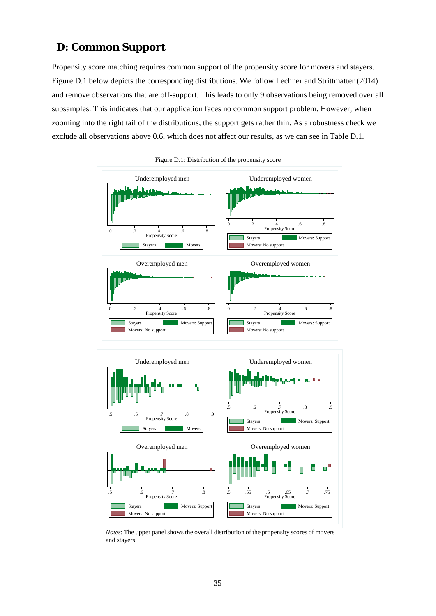### **D: Common Support**

Propensity score matching requires common support of the propensity score for movers and stayers. [Figure D](#page-36-0).1 below depicts the corresponding distributions. We follow Lechner and Strittmatter (2014) and remove observations that are off-support. This leads to only 9 observations being removed over all subsamples. This indicates that our application faces no common support problem. However, when zooming into the right tail of the distributions, the support gets rather thin. As a robustness check we exclude all observations above 0.6, which does not affect our results, as we can see in Table D.1.

<span id="page-36-0"></span>



*Notes*: The upper panel shows the overall distribution of the propensity scores of movers and stayers